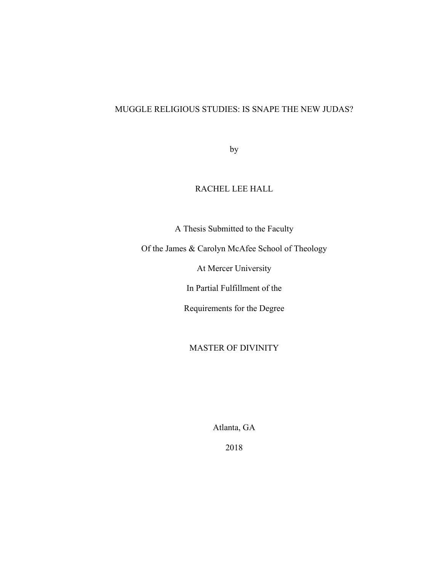# MUGGLE RELIGIOUS STUDIES: IS SNAPE THE NEW JUDAS?

by

## RACHEL LEE HALL

A Thesis Submitted to the Faculty

Of the James & Carolyn McAfee School of Theology

At Mercer University

In Partial Fulfillment of the

Requirements for the Degree

## MASTER OF DIVINITY

Atlanta, GA

2018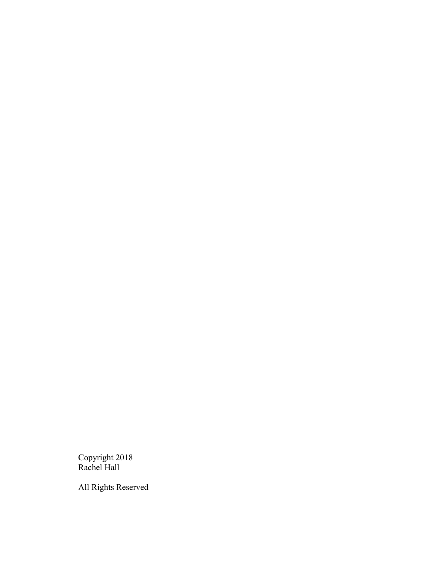Copyright 2018 Rachel Hall

All Rights Reserved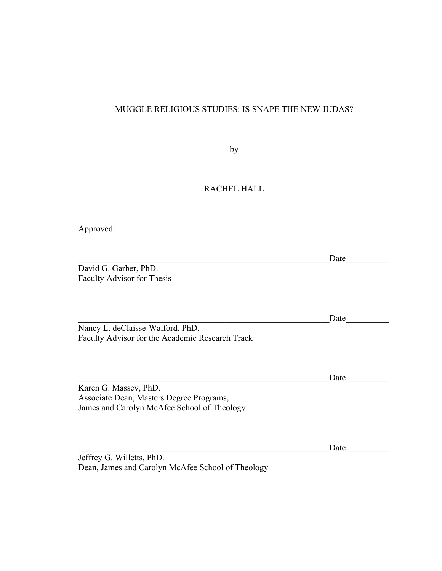## MUGGLE RELIGIOUS STUDIES: IS SNAPE THE NEW JUDAS?

by

## RACHEL HALL

Approved:

Date  $\qquad \qquad \qquad$ 

Date

David G. Garber, PhD. Faculty Advisor for Thesis

Nancy L. deClaisse-Walford, PhD. Faculty Advisor for the Academic Research Track

Date Karen G. Massey, PhD. Associate Dean, Masters Degree Programs, James and Carolyn McAfee School of Theology

 $Date$   $\qquad \qquad$ 

Jeffrey G. Willetts, PhD. Dean, James and Carolyn McAfee School of Theology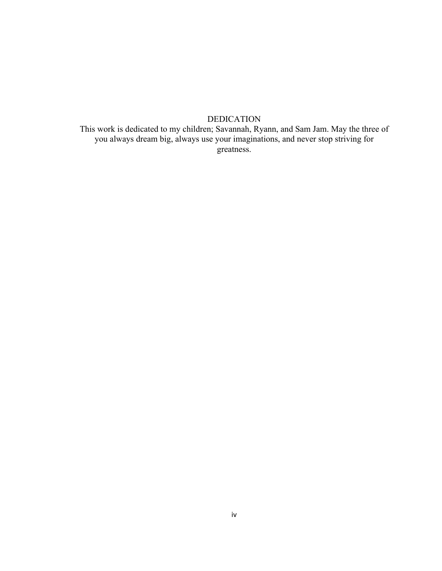## DEDICATION

This work is dedicated to my children; Savannah, Ryann, and Sam Jam. May the three of you always dream big, always use your imaginations, and never stop striving for greatness.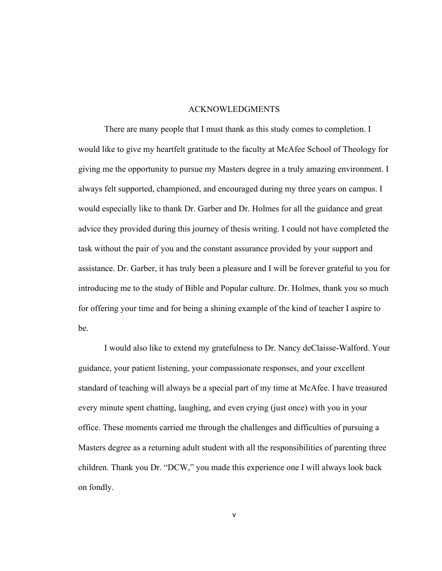#### ACKNOWLEDGMENTS

There are many people that I must thank as this study comes to completion. I would like to give my heartfelt gratitude to the faculty at McAfee School of Theology for giving me the opportunity to pursue my Masters degree in a truly amazing environment. I always felt supported, championed, and encouraged during my three years on campus. I would especially like to thank Dr. Garber and Dr. Holmes for all the guidance and great advice they provided during this journey of thesis writing. I could not have completed the task without the pair of you and the constant assurance provided by your support and assistance. Dr. Garber, it has truly been a pleasure and I will be forever grateful to you for introducing me to the study of Bible and Popular culture. Dr. Holmes, thank you so much for offering your time and for being a shining example of the kind of teacher I aspire to be.

I would also like to extend my gratefulness to Dr. Nancy deClaisse-Walford. Your guidance, your patient listening, your compassionate responses, and your excellent standard of teaching will always be a special part of my time at McAfee. I have treasured every minute spent chatting, laughing, and even crying (just once) with you in your office. These moments carried me through the challenges and difficulties of pursuing a Masters degree as a returning adult student with all the responsibilities of parenting three children. Thank you Dr. "DCW," you made this experience one I will always look back on fondly.

v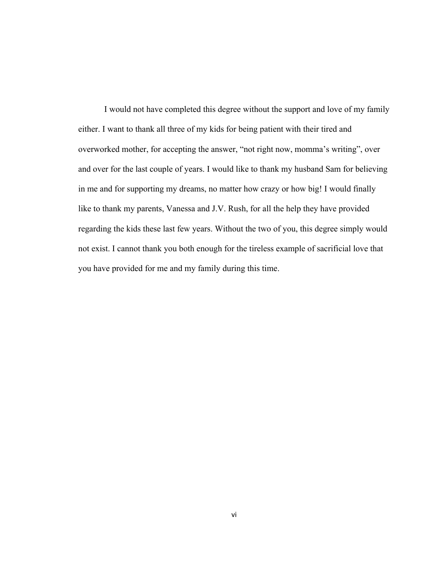I would not have completed this degree without the support and love of my family either. I want to thank all three of my kids for being patient with their tired and overworked mother, for accepting the answer, "not right now, momma's writing", over and over for the last couple of years. I would like to thank my husband Sam for believing in me and for supporting my dreams, no matter how crazy or how big! I would finally like to thank my parents, Vanessa and J.V. Rush, for all the help they have provided regarding the kids these last few years. Without the two of you, this degree simply would not exist. I cannot thank you both enough for the tireless example of sacrificial love that you have provided for me and my family during this time.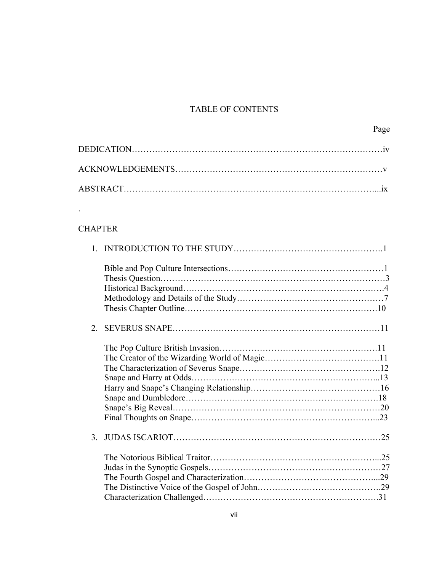# TABLE OF CONTENTS

# **CHAPTER**

.

| $2^{\circ}$   |  |
|---------------|--|
|               |  |
| $\mathcal{E}$ |  |
|               |  |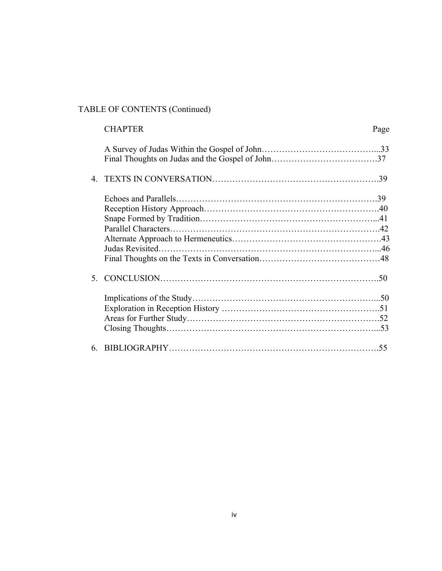# TABLE OF CONTENTS (Continued)

|   | <b>CHAPTER</b> | Page |
|---|----------------|------|
|   |                |      |
|   |                |      |
|   |                |      |
|   |                |      |
|   |                |      |
|   |                |      |
|   |                |      |
|   |                |      |
|   |                |      |
|   |                |      |
|   |                |      |
|   |                |      |
|   |                |      |
|   |                |      |
| 6 |                |      |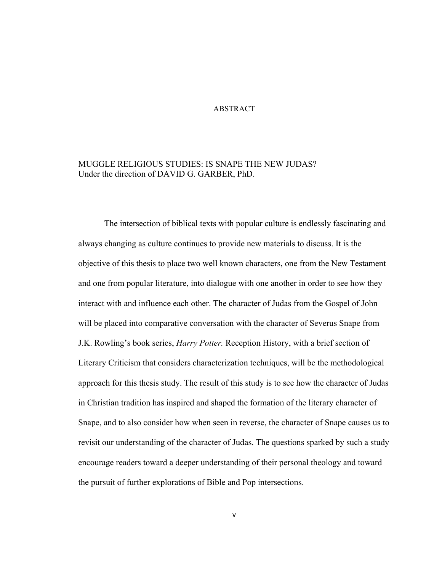#### ABSTRACT

## MUGGLE RELIGIOUS STUDIES: IS SNAPE THE NEW JUDAS? Under the direction of DAVID G. GARBER, PhD.

The intersection of biblical texts with popular culture is endlessly fascinating and always changing as culture continues to provide new materials to discuss. It is the objective of this thesis to place two well known characters, one from the New Testament and one from popular literature, into dialogue with one another in order to see how they interact with and influence each other. The character of Judas from the Gospel of John will be placed into comparative conversation with the character of Severus Snape from J.K. Rowling's book series, *Harry Potter.* Reception History, with a brief section of Literary Criticism that considers characterization techniques, will be the methodological approach for this thesis study. The result of this study is to see how the character of Judas in Christian tradition has inspired and shaped the formation of the literary character of Snape, and to also consider how when seen in reverse, the character of Snape causes us to revisit our understanding of the character of Judas. The questions sparked by such a study encourage readers toward a deeper understanding of their personal theology and toward the pursuit of further explorations of Bible and Pop intersections.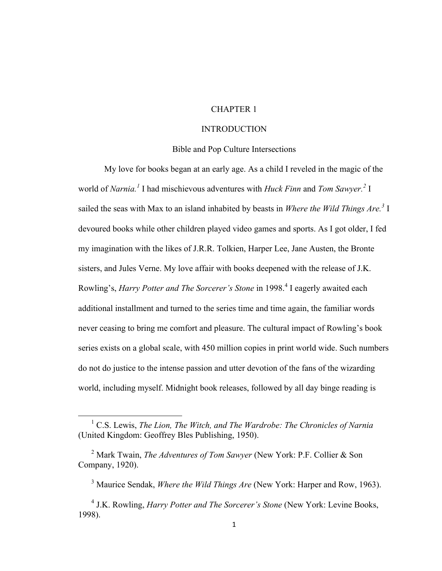## CHAPTER 1

## INTRODUCTION

## Bible and Pop Culture Intersections

My love for books began at an early age. As a child I reveled in the magic of the world of *Narnia. <sup>1</sup>* I had mischievous adventures with *Huck Finn* and *Tom Sawyer. 2* I sailed the seas with Max to an island inhabited by beasts in *Where the Wild Things Are.3* I devoured books while other children played video games and sports. As I got older, I fed my imagination with the likes of J.R.R. Tolkien, Harper Lee, Jane Austen, the Bronte sisters, and Jules Verne. My love affair with books deepened with the release of J.K. Rowling's, *Harry Potter and The Sorcerer's Stone* in 1998.<sup>4</sup> I eagerly awaited each additional installment and turned to the series time and time again, the familiar words never ceasing to bring me comfort and pleasure. The cultural impact of Rowling's book series exists on a global scale, with 450 million copies in print world wide. Such numbers do not do justice to the intense passion and utter devotion of the fans of the wizarding world, including myself. Midnight book releases, followed by all day binge reading is

 <sup>1</sup> C.S. Lewis, *The Lion, The Witch, and The Wardrobe: The Chronicles of Narnia*  (United Kingdom: Geoffrey Bles Publishing, 1950).

<sup>2</sup> Mark Twain, *The Adventures of Tom Sawyer* (New York: P.F. Collier & Son Company, 1920).

<sup>3</sup> Maurice Sendak, *Where the Wild Things Are* (New York: Harper and Row, 1963).

<sup>4</sup> J.K. Rowling, *Harry Potter and The Sorcerer's Stone* (New York: Levine Books, 1998).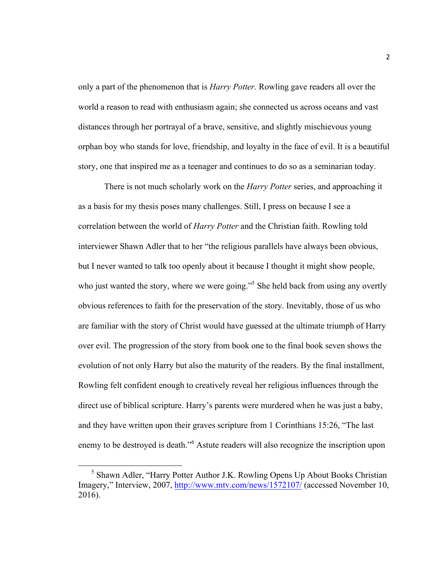only a part of the phenomenon that is *Harry Potter.* Rowling gave readers all over the world a reason to read with enthusiasm again; she connected us across oceans and vast distances through her portrayal of a brave, sensitive, and slightly mischievous young orphan boy who stands for love, friendship, and loyalty in the face of evil. It is a beautiful story, one that inspired me as a teenager and continues to do so as a seminarian today.

There is not much scholarly work on the *Harry Potter* series, and approaching it as a basis for my thesis poses many challenges. Still, I press on because I see a correlation between the world of *Harry Potter* and the Christian faith. Rowling told interviewer Shawn Adler that to her "the religious parallels have always been obvious, but I never wanted to talk too openly about it because I thought it might show people, who just wanted the story, where we were going.<sup>55</sup> She held back from using any overtly obvious references to faith for the preservation of the story. Inevitably, those of us who are familiar with the story of Christ would have guessed at the ultimate triumph of Harry over evil. The progression of the story from book one to the final book seven shows the evolution of not only Harry but also the maturity of the readers. By the final installment, Rowling felt confident enough to creatively reveal her religious influences through the direct use of biblical scripture. Harry's parents were murdered when he was just a baby, and they have written upon their graves scripture from 1 Corinthians 15:26, "The last enemy to be destroyed is death."<sup>6</sup> Astute readers will also recognize the inscription upon

 <sup>5</sup> Shawn Adler, "Harry Potter Author J.K. Rowling Opens Up About Books Christian Imagery," Interview, 2007, http://www.mtv.com/news/1572107/ (accessed November 10, 2016).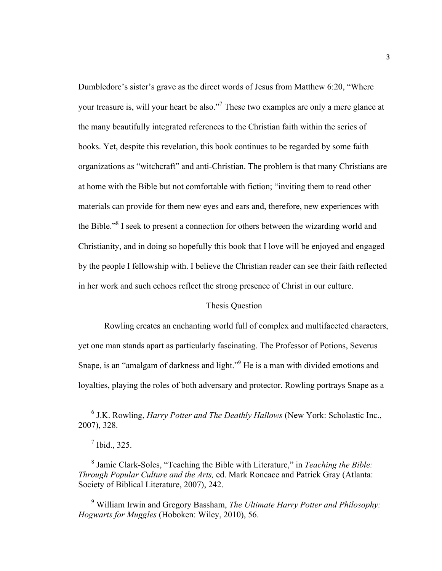Dumbledore's sister's grave as the direct words of Jesus from Matthew 6:20, "Where your treasure is, will your heart be also."7 These two examples are only a mere glance at the many beautifully integrated references to the Christian faith within the series of books. Yet, despite this revelation, this book continues to be regarded by some faith organizations as "witchcraft" and anti-Christian. The problem is that many Christians are at home with the Bible but not comfortable with fiction; "inviting them to read other materials can provide for them new eyes and ears and, therefore, new experiences with the Bible."<sup>8</sup> I seek to present a connection for others between the wizarding world and Christianity, and in doing so hopefully this book that I love will be enjoyed and engaged by the people I fellowship with. I believe the Christian reader can see their faith reflected in her work and such echoes reflect the strong presence of Christ in our culture.

## Thesis Question

Rowling creates an enchanting world full of complex and multifaceted characters, yet one man stands apart as particularly fascinating. The Professor of Potions, Severus Snape, is an "amalgam of darkness and light."<sup>9</sup> He is a man with divided emotions and loyalties, playing the roles of both adversary and protector. Rowling portrays Snape as a

<sup>9</sup> William Irwin and Gregory Bassham, *The Ultimate Harry Potter and Philosophy: Hogwarts for Muggles* (Hoboken: Wiley, 2010), 56.

 <sup>6</sup> J.K. Rowling, *Harry Potter and The Deathly Hallows* (New York: Scholastic Inc., 2007), 328.

 $<sup>7</sup>$  Ibid., 325.</sup>

<sup>8</sup> Jamie Clark-Soles, "Teaching the Bible with Literature," in *Teaching the Bible: Through Popular Culture and the Arts,* ed. Mark Roncace and Patrick Gray (Atlanta: Society of Biblical Literature, 2007), 242.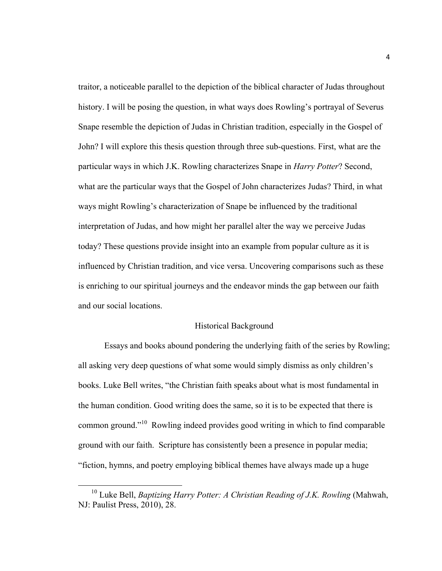traitor, a noticeable parallel to the depiction of the biblical character of Judas throughout history. I will be posing the question, in what ways does Rowling's portrayal of Severus Snape resemble the depiction of Judas in Christian tradition, especially in the Gospel of John? I will explore this thesis question through three sub-questions. First, what are the particular ways in which J.K. Rowling characterizes Snape in *Harry Potter*? Second, what are the particular ways that the Gospel of John characterizes Judas? Third, in what ways might Rowling's characterization of Snape be influenced by the traditional interpretation of Judas, and how might her parallel alter the way we perceive Judas today? These questions provide insight into an example from popular culture as it is influenced by Christian tradition, and vice versa. Uncovering comparisons such as these is enriching to our spiritual journeys and the endeavor minds the gap between our faith and our social locations.

#### Historical Background

Essays and books abound pondering the underlying faith of the series by Rowling; all asking very deep questions of what some would simply dismiss as only children's books. Luke Bell writes, "the Christian faith speaks about what is most fundamental in the human condition. Good writing does the same, so it is to be expected that there is common ground."10 Rowling indeed provides good writing in which to find comparable ground with our faith. Scripture has consistently been a presence in popular media; "fiction, hymns, and poetry employing biblical themes have always made up a huge

<sup>&</sup>lt;sup>10</sup> Luke Bell, *Baptizing Harry Potter: A Christian Reading of J.K. Rowling* (Mahwah, NJ: Paulist Press, 2010), 28.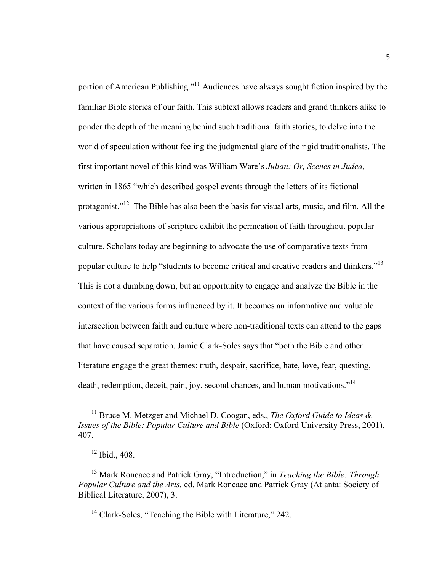portion of American Publishing."11 Audiences have always sought fiction inspired by the familiar Bible stories of our faith. This subtext allows readers and grand thinkers alike to ponder the depth of the meaning behind such traditional faith stories, to delve into the world of speculation without feeling the judgmental glare of the rigid traditionalists. The first important novel of this kind was William Ware's *Julian: Or, Scenes in Judea,*  written in 1865 "which described gospel events through the letters of its fictional protagonist."12 The Bible has also been the basis for visual arts, music, and film. All the various appropriations of scripture exhibit the permeation of faith throughout popular culture. Scholars today are beginning to advocate the use of comparative texts from popular culture to help "students to become critical and creative readers and thinkers."13 This is not a dumbing down, but an opportunity to engage and analyze the Bible in the context of the various forms influenced by it. It becomes an informative and valuable intersection between faith and culture where non-traditional texts can attend to the gaps that have caused separation. Jamie Clark-Soles says that "both the Bible and other literature engage the great themes: truth, despair, sacrifice, hate, love, fear, questing, death, redemption, deceit, pain, joy, second chances, and human motivations."<sup>14</sup>

<sup>&</sup>lt;sup>11</sup> Bruce M. Metzger and Michael D. Coogan, eds., *The Oxford Guide to Ideas & Issues of the Bible: Popular Culture and Bible* (Oxford: Oxford University Press, 2001), 407.

<sup>12</sup> Ibid., 408.

<sup>13</sup> Mark Roncace and Patrick Gray, "Introduction," in *Teaching the Bible: Through Popular Culture and the Arts.* ed. Mark Roncace and Patrick Gray (Atlanta: Society of Biblical Literature, 2007), 3.

<sup>&</sup>lt;sup>14</sup> Clark-Soles, "Teaching the Bible with Literature," 242.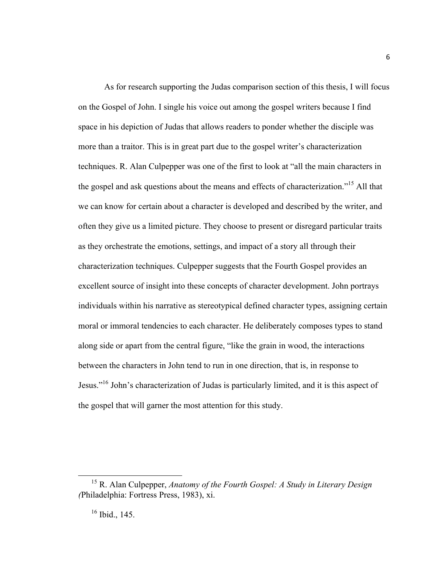As for research supporting the Judas comparison section of this thesis, I will focus on the Gospel of John. I single his voice out among the gospel writers because I find space in his depiction of Judas that allows readers to ponder whether the disciple was more than a traitor. This is in great part due to the gospel writer's characterization techniques. R. Alan Culpepper was one of the first to look at "all the main characters in the gospel and ask questions about the means and effects of characterization."<sup>15</sup> All that we can know for certain about a character is developed and described by the writer, and often they give us a limited picture. They choose to present or disregard particular traits as they orchestrate the emotions, settings, and impact of a story all through their characterization techniques. Culpepper suggests that the Fourth Gospel provides an excellent source of insight into these concepts of character development. John portrays individuals within his narrative as stereotypical defined character types, assigning certain moral or immoral tendencies to each character. He deliberately composes types to stand along side or apart from the central figure, "like the grain in wood, the interactions between the characters in John tend to run in one direction, that is, in response to Jesus."16 John's characterization of Judas is particularly limited, and it is this aspect of the gospel that will garner the most attention for this study.

 <sup>15</sup> R. Alan Culpepper, *Anatomy of the Fourth Gospel: A Study in Literary Design (*Philadelphia: Fortress Press, 1983), xi.

 $16$  Ibid., 145.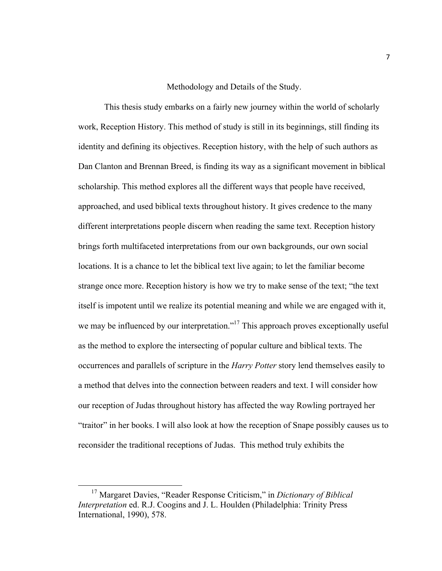## Methodology and Details of the Study.

This thesis study embarks on a fairly new journey within the world of scholarly work, Reception History. This method of study is still in its beginnings, still finding its identity and defining its objectives. Reception history, with the help of such authors as Dan Clanton and Brennan Breed, is finding its way as a significant movement in biblical scholarship. This method explores all the different ways that people have received, approached, and used biblical texts throughout history. It gives credence to the many different interpretations people discern when reading the same text. Reception history brings forth multifaceted interpretations from our own backgrounds, our own social locations. It is a chance to let the biblical text live again; to let the familiar become strange once more. Reception history is how we try to make sense of the text; "the text itself is impotent until we realize its potential meaning and while we are engaged with it, we may be influenced by our interpretation."<sup>17</sup> This approach proves exceptionally useful as the method to explore the intersecting of popular culture and biblical texts. The occurrences and parallels of scripture in the *Harry Potter* story lend themselves easily to a method that delves into the connection between readers and text. I will consider how our reception of Judas throughout history has affected the way Rowling portrayed her "traitor" in her books. I will also look at how the reception of Snape possibly causes us to reconsider the traditional receptions of Judas. This method truly exhibits the

 <sup>17</sup> Margaret Davies, "Reader Response Criticism," in *Dictionary of Biblical Interpretation* ed. R.J. Coogins and J. L. Houlden (Philadelphia: Trinity Press International, 1990), 578.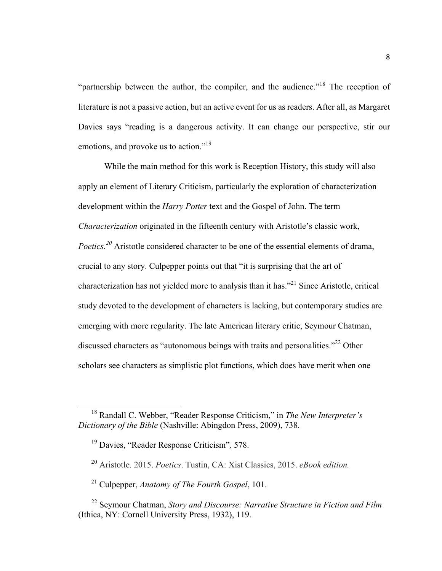"partnership between the author, the compiler, and the audience."<sup>18</sup> The reception of literature is not a passive action, but an active event for us as readers. After all, as Margaret Davies says "reading is a dangerous activity. It can change our perspective, stir our emotions, and provoke us to action."<sup>19</sup>

While the main method for this work is Reception History, this study will also apply an element of Literary Criticism, particularly the exploration of characterization development within the *Harry Potter* text and the Gospel of John. The term *Characterization* originated in the fifteenth century with Aristotle's classic work, *Poetics. <sup>20</sup>* Aristotle considered character to be one of the essential elements of drama, crucial to any story. Culpepper points out that "it is surprising that the art of characterization has not yielded more to analysis than it has."21 Since Aristotle, critical study devoted to the development of characters is lacking, but contemporary studies are emerging with more regularity. The late American literary critic, Seymour Chatman, discussed characters as "autonomous beings with traits and personalities."<sup>22</sup> Other scholars see characters as simplistic plot functions, which does have merit when one

<sup>21</sup> Culpepper, *Anatomy of The Fourth Gospel*, 101.

 <sup>18</sup> Randall C. Webber, "Reader Response Criticism," in *The New Interpreter's Dictionary of the Bible* (Nashville: Abingdon Press, 2009), 738.

<sup>19</sup> Davies, "Reader Response Criticism"*,* 578.

<sup>20</sup> Aristotle. 2015. *Poetics*. Tustin, CA: Xist Classics, 2015. *eBook edition.*

<sup>22</sup> Seymour Chatman, *Story and Discourse: Narrative Structure in Fiction and Film*  (Ithica, NY: Cornell University Press, 1932), 119.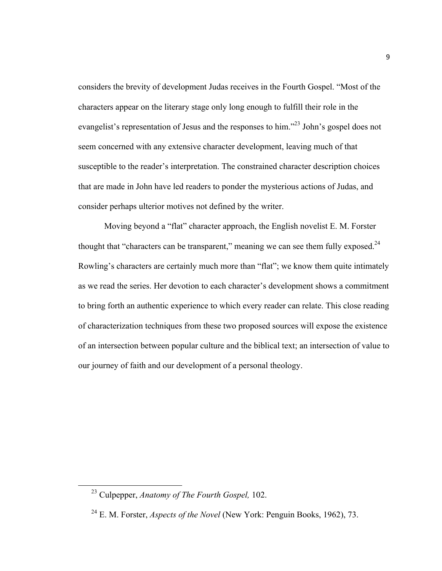considers the brevity of development Judas receives in the Fourth Gospel. "Most of the characters appear on the literary stage only long enough to fulfill their role in the evangelist's representation of Jesus and the responses to him."<sup>23</sup> John's gospel does not seem concerned with any extensive character development, leaving much of that susceptible to the reader's interpretation. The constrained character description choices that are made in John have led readers to ponder the mysterious actions of Judas, and consider perhaps ulterior motives not defined by the writer.

Moving beyond a "flat" character approach, the English novelist E. M. Forster thought that "characters can be transparent," meaning we can see them fully exposed.<sup>24</sup> Rowling's characters are certainly much more than "flat"; we know them quite intimately as we read the series. Her devotion to each character's development shows a commitment to bring forth an authentic experience to which every reader can relate. This close reading of characterization techniques from these two proposed sources will expose the existence of an intersection between popular culture and the biblical text; an intersection of value to our journey of faith and our development of a personal theology.

 <sup>23</sup> Culpepper, *Anatomy of The Fourth Gospel,* 102.

<sup>24</sup> E. M. Forster, *Aspects of the Novel* (New York: Penguin Books, 1962), 73.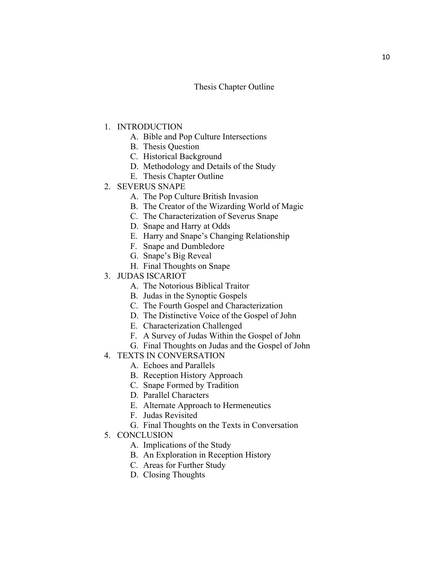## Thesis Chapter Outline

- 1. INTRODUCTION
	- A. Bible and Pop Culture Intersections
	- B. Thesis Question
	- C. Historical Background
	- D. Methodology and Details of the Study
	- E. Thesis Chapter Outline
- 2. SEVERUS SNAPE
	- A. The Pop Culture British Invasion
	- B. The Creator of the Wizarding World of Magic
	- C. The Characterization of Severus Snape
	- D. Snape and Harry at Odds
	- E. Harry and Snape's Changing Relationship
	- F. Snape and Dumbledore
	- G. Snape's Big Reveal
	- H. Final Thoughts on Snape
- 3. JUDAS ISCARIOT
	- A. The Notorious Biblical Traitor
	- B. Judas in the Synoptic Gospels
	- C. The Fourth Gospel and Characterization
	- D. The Distinctive Voice of the Gospel of John
	- E. Characterization Challenged
	- F. A Survey of Judas Within the Gospel of John
	- G. Final Thoughts on Judas and the Gospel of John
- 4. TEXTS IN CONVERSATION
	- A. Echoes and Parallels
	- B. Reception History Approach
	- C. Snape Formed by Tradition
	- D. Parallel Characters
	- E. Alternate Approach to Hermeneutics
	- F. Judas Revisited
	- G. Final Thoughts on the Texts in Conversation
- 5. CONCLUSION
	- A. Implications of the Study
	- B. An Exploration in Reception History
	- C. Areas for Further Study
	- D. Closing Thoughts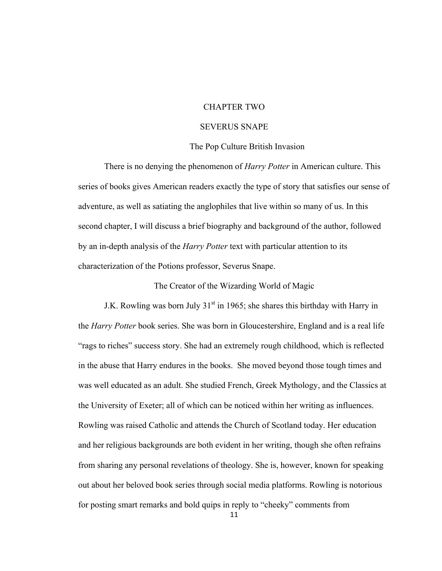## CHAPTER TWO

## SEVERUS SNAPE

## The Pop Culture British Invasion

There is no denying the phenomenon of *Harry Potter* in American culture. This series of books gives American readers exactly the type of story that satisfies our sense of adventure, as well as satiating the anglophiles that live within so many of us. In this second chapter, I will discuss a brief biography and background of the author, followed by an in-depth analysis of the *Harry Potter* text with particular attention to its characterization of the Potions professor, Severus Snape.

The Creator of the Wizarding World of Magic

J.K. Rowling was born July  $31<sup>st</sup>$  in 1965; she shares this birthday with Harry in the *Harry Potter* book series. She was born in Gloucestershire, England and is a real life "rags to riches" success story. She had an extremely rough childhood, which is reflected in the abuse that Harry endures in the books. She moved beyond those tough times and was well educated as an adult. She studied French, Greek Mythology, and the Classics at the University of Exeter; all of which can be noticed within her writing as influences. Rowling was raised Catholic and attends the Church of Scotland today. Her education and her religious backgrounds are both evident in her writing, though she often refrains from sharing any personal revelations of theology. She is, however, known for speaking out about her beloved book series through social media platforms. Rowling is notorious for posting smart remarks and bold quips in reply to "cheeky" comments from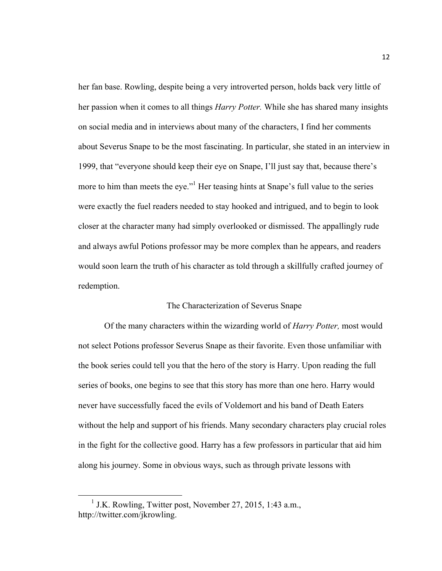her fan base. Rowling, despite being a very introverted person, holds back very little of her passion when it comes to all things *Harry Potter.* While she has shared many insights on social media and in interviews about many of the characters, I find her comments about Severus Snape to be the most fascinating. In particular, she stated in an interview in 1999, that "everyone should keep their eye on Snape, I'll just say that, because there's more to him than meets the eye."<sup>1</sup> Her teasing hints at Snape's full value to the series were exactly the fuel readers needed to stay hooked and intrigued, and to begin to look closer at the character many had simply overlooked or dismissed. The appallingly rude and always awful Potions professor may be more complex than he appears, and readers would soon learn the truth of his character as told through a skillfully crafted journey of redemption.

## The Characterization of Severus Snape

Of the many characters within the wizarding world of *Harry Potter,* most would not select Potions professor Severus Snape as their favorite. Even those unfamiliar with the book series could tell you that the hero of the story is Harry. Upon reading the full series of books, one begins to see that this story has more than one hero. Harry would never have successfully faced the evils of Voldemort and his band of Death Eaters without the help and support of his friends. Many secondary characters play crucial roles in the fight for the collective good. Harry has a few professors in particular that aid him along his journey. Some in obvious ways, such as through private lessons with

<sup>&</sup>lt;sup>1</sup> J.K. Rowling, Twitter post, November 27, 2015, 1:43 a.m., http://twitter.com/jkrowling.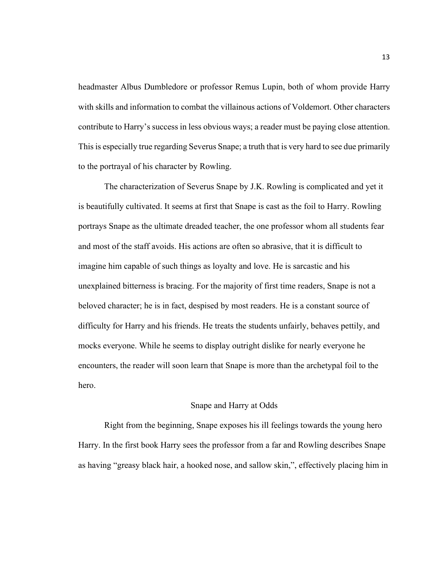headmaster Albus Dumbledore or professor Remus Lupin, both of whom provide Harry with skills and information to combat the villainous actions of Voldemort. Other characters contribute to Harry's success in less obvious ways; a reader must be paying close attention. This is especially true regarding Severus Snape; a truth that is very hard to see due primarily to the portrayal of his character by Rowling.

The characterization of Severus Snape by J.K. Rowling is complicated and yet it is beautifully cultivated. It seems at first that Snape is cast as the foil to Harry. Rowling portrays Snape as the ultimate dreaded teacher, the one professor whom all students fear and most of the staff avoids. His actions are often so abrasive, that it is difficult to imagine him capable of such things as loyalty and love. He is sarcastic and his unexplained bitterness is bracing. For the majority of first time readers, Snape is not a beloved character; he is in fact, despised by most readers. He is a constant source of difficulty for Harry and his friends. He treats the students unfairly, behaves pettily, and mocks everyone. While he seems to display outright dislike for nearly everyone he encounters, the reader will soon learn that Snape is more than the archetypal foil to the hero.

## Snape and Harry at Odds

Right from the beginning, Snape exposes his ill feelings towards the young hero Harry. In the first book Harry sees the professor from a far and Rowling describes Snape as having "greasy black hair, a hooked nose, and sallow skin,", effectively placing him in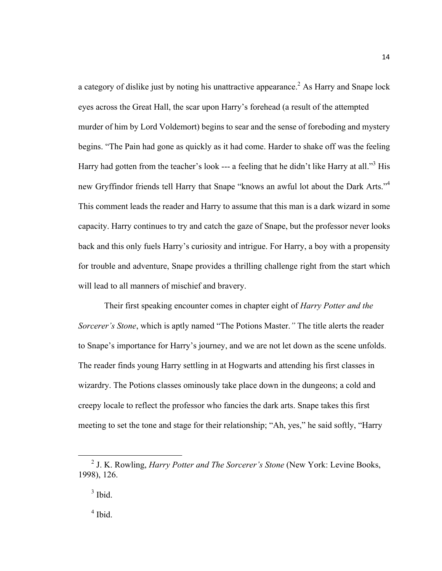a category of dislike just by noting his unattractive appearance.<sup>2</sup> As Harry and Snape lock eyes across the Great Hall, the scar upon Harry's forehead (a result of the attempted murder of him by Lord Voldemort) begins to sear and the sense of foreboding and mystery begins. "The Pain had gone as quickly as it had come. Harder to shake off was the feeling Harry had gotten from the teacher's look --- a feeling that he didn't like Harry at all."<sup>3</sup> His new Gryffindor friends tell Harry that Snape "knows an awful lot about the Dark Arts."<sup>4</sup> This comment leads the reader and Harry to assume that this man is a dark wizard in some capacity. Harry continues to try and catch the gaze of Snape, but the professor never looks back and this only fuels Harry's curiosity and intrigue. For Harry, a boy with a propensity for trouble and adventure, Snape provides a thrilling challenge right from the start which will lead to all manners of mischief and bravery.

Their first speaking encounter comes in chapter eight of *Harry Potter and the Sorcerer's Stone*, which is aptly named "The Potions Master.*"* The title alerts the reader to Snape's importance for Harry's journey, and we are not let down as the scene unfolds. The reader finds young Harry settling in at Hogwarts and attending his first classes in wizardry. The Potions classes ominously take place down in the dungeons; a cold and creepy locale to reflect the professor who fancies the dark arts. Snape takes this first meeting to set the tone and stage for their relationship; "Ah, yes," he said softly, "Harry

14

 $<sup>4</sup>$  Ibid.</sup>

 <sup>2</sup> J. K. Rowling, *Harry Potter and The Sorcerer's Stone* (New York: Levine Books, 1998), 126.

 $3$  Ibid.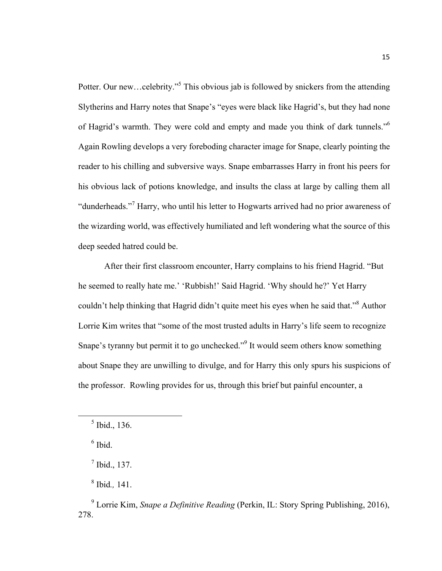Potter. Our new...celebrity."<sup>5</sup> This obvious jab is followed by snickers from the attending Slytherins and Harry notes that Snape's "eyes were black like Hagrid's, but they had none of Hagrid's warmth. They were cold and empty and made you think of dark tunnels."6 Again Rowling develops a very foreboding character image for Snape, clearly pointing the reader to his chilling and subversive ways. Snape embarrasses Harry in front his peers for his obvious lack of potions knowledge, and insults the class at large by calling them all "dunderheads."<sup>7</sup> Harry, who until his letter to Hogwarts arrived had no prior awareness of the wizarding world, was effectively humiliated and left wondering what the source of this deep seeded hatred could be.

After their first classroom encounter, Harry complains to his friend Hagrid. "But he seemed to really hate me.' 'Rubbish!' Said Hagrid. 'Why should he?' Yet Harry couldn't help thinking that Hagrid didn't quite meet his eyes when he said that."<sup>8</sup> Author Lorrie Kim writes that "some of the most trusted adults in Harry's life seem to recognize Snape's tyranny but permit it to go unchecked."9 It would seem others know something about Snape they are unwilling to divulge, and for Harry this only spurs his suspicions of the professor. Rowling provides for us, through this brief but painful encounter, a

<sup>8</sup> Ibid*.,* 141.

 $<sup>5</sup>$  Ibid., 136.</sup>

 $<sup>6</sup>$  Ibid.</sup>

 $<sup>7</sup>$  Ibid., 137.</sup>

<sup>9</sup> Lorrie Kim, *Snape a Definitive Reading* (Perkin, IL: Story Spring Publishing, 2016), 278.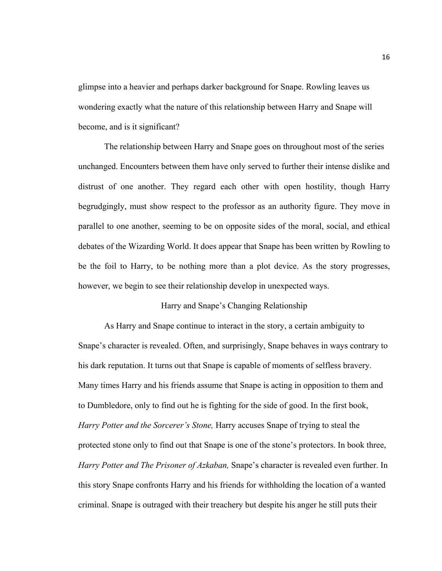glimpse into a heavier and perhaps darker background for Snape. Rowling leaves us wondering exactly what the nature of this relationship between Harry and Snape will become, and is it significant?

The relationship between Harry and Snape goes on throughout most of the series unchanged. Encounters between them have only served to further their intense dislike and distrust of one another. They regard each other with open hostility, though Harry begrudgingly, must show respect to the professor as an authority figure. They move in parallel to one another, seeming to be on opposite sides of the moral, social, and ethical debates of the Wizarding World. It does appear that Snape has been written by Rowling to be the foil to Harry, to be nothing more than a plot device. As the story progresses, however, we begin to see their relationship develop in unexpected ways.

## Harry and Snape's Changing Relationship

As Harry and Snape continue to interact in the story, a certain ambiguity to Snape's character is revealed. Often, and surprisingly, Snape behaves in ways contrary to his dark reputation. It turns out that Snape is capable of moments of selfless bravery. Many times Harry and his friends assume that Snape is acting in opposition to them and to Dumbledore, only to find out he is fighting for the side of good. In the first book, *Harry Potter and the Sorcerer's Stone,* Harry accuses Snape of trying to steal the protected stone only to find out that Snape is one of the stone's protectors. In book three, *Harry Potter and The Prisoner of Azkaban,* Snape's character is revealed even further. In this story Snape confronts Harry and his friends for withholding the location of a wanted criminal. Snape is outraged with their treachery but despite his anger he still puts their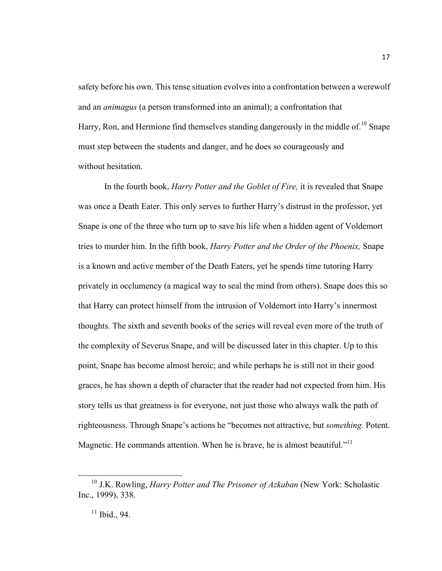safety before his own. This tense situation evolves into a confrontation between a werewolf and an *animagus* (a person transformed into an animal); a confrontation that Harry, Ron, and Hermione find themselves standing dangerously in the middle of.<sup>10</sup> Snape must step between the students and danger, and he does so courageously and without hesitation.

In the fourth book, *Harry Potter and the Goblet of Fire,* it is revealed that Snape was once a Death Eater. This only serves to further Harry's distrust in the professor, yet Snape is one of the three who turn up to save his life when a hidden agent of Voldemort tries to murder him. In the fifth book, *Harry Potter and the Order of the Phoenix,* Snape is a known and active member of the Death Eaters, yet he spends time tutoring Harry privately in occlumency (a magical way to seal the mind from others). Snape does this so that Harry can protect himself from the intrusion of Voldemort into Harry's innermost thoughts. The sixth and seventh books of the series will reveal even more of the truth of the complexity of Severus Snape, and will be discussed later in this chapter. Up to this point, Snape has become almost heroic; and while perhaps he is still not in their good graces, he has shown a depth of character that the reader had not expected from him. His story tells us that greatness is for everyone, not just those who always walk the path of righteousness. Through Snape's actions he "becomes not attractive, but *something.* Potent. Magnetic. He commands attention. When he is brave, he is almost beautiful."<sup>11</sup>

 <sup>10</sup> J.K. Rowling, *Harry Potter and The Prisoner of Azkaban* (New York: Scholastic Inc., 1999), 338.

 $11$  Ibid., 94.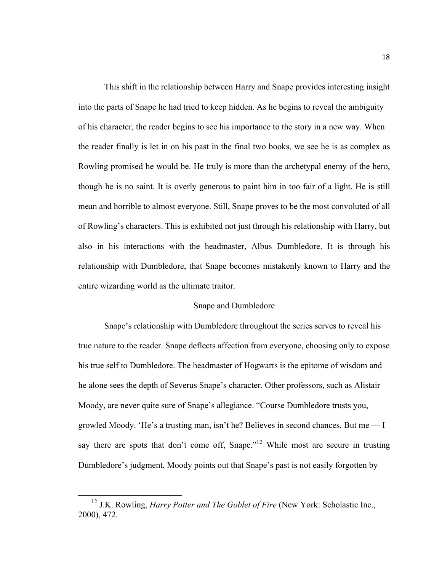This shift in the relationship between Harry and Snape provides interesting insight into the parts of Snape he had tried to keep hidden. As he begins to reveal the ambiguity of his character, the reader begins to see his importance to the story in a new way. When the reader finally is let in on his past in the final two books, we see he is as complex as Rowling promised he would be. He truly is more than the archetypal enemy of the hero, though he is no saint. It is overly generous to paint him in too fair of a light. He is still mean and horrible to almost everyone. Still, Snape proves to be the most convoluted of all of Rowling's characters. This is exhibited not just through his relationship with Harry, but also in his interactions with the headmaster, Albus Dumbledore. It is through his relationship with Dumbledore, that Snape becomes mistakenly known to Harry and the entire wizarding world as the ultimate traitor.

#### Snape and Dumbledore

Snape's relationship with Dumbledore throughout the series serves to reveal his true nature to the reader. Snape deflects affection from everyone, choosing only to expose his true self to Dumbledore. The headmaster of Hogwarts is the epitome of wisdom and he alone sees the depth of Severus Snape's character. Other professors, such as Alistair Moody, are never quite sure of Snape's allegiance. "Course Dumbledore trusts you, growled Moody. 'He's a trusting man, isn't he? Believes in second chances. But me –– I say there are spots that don't come off, Snape."<sup>12</sup> While most are secure in trusting Dumbledore's judgment, Moody points out that Snape's past is not easily forgotten by

<sup>&</sup>lt;sup>12</sup> J.K. Rowling, *Harry Potter and The Goblet of Fire* (New York: Scholastic Inc., 2000), 472.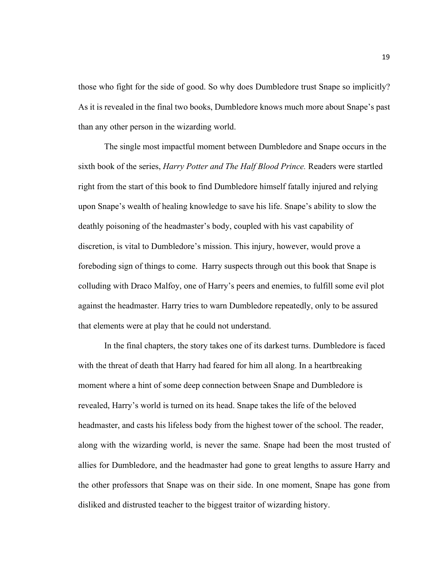those who fight for the side of good. So why does Dumbledore trust Snape so implicitly? As it is revealed in the final two books, Dumbledore knows much more about Snape's past than any other person in the wizarding world.

The single most impactful moment between Dumbledore and Snape occurs in the sixth book of the series, *Harry Potter and The Half Blood Prince.* Readers were startled right from the start of this book to find Dumbledore himself fatally injured and relying upon Snape's wealth of healing knowledge to save his life. Snape's ability to slow the deathly poisoning of the headmaster's body, coupled with his vast capability of discretion, is vital to Dumbledore's mission. This injury, however, would prove a foreboding sign of things to come. Harry suspects through out this book that Snape is colluding with Draco Malfoy, one of Harry's peers and enemies, to fulfill some evil plot against the headmaster. Harry tries to warn Dumbledore repeatedly, only to be assured that elements were at play that he could not understand.

In the final chapters, the story takes one of its darkest turns. Dumbledore is faced with the threat of death that Harry had feared for him all along. In a heartbreaking moment where a hint of some deep connection between Snape and Dumbledore is revealed, Harry's world is turned on its head. Snape takes the life of the beloved headmaster, and casts his lifeless body from the highest tower of the school. The reader, along with the wizarding world, is never the same. Snape had been the most trusted of allies for Dumbledore, and the headmaster had gone to great lengths to assure Harry and the other professors that Snape was on their side. In one moment, Snape has gone from disliked and distrusted teacher to the biggest traitor of wizarding history.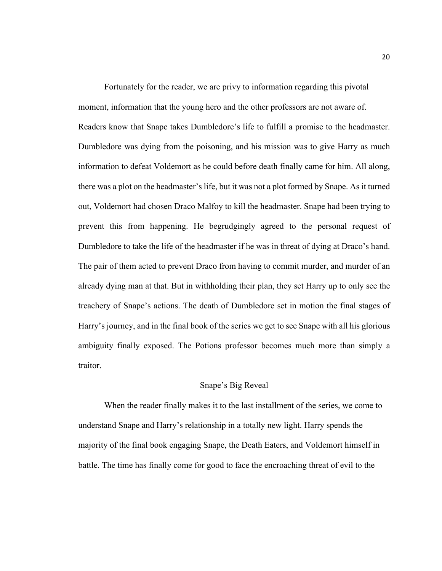Fortunately for the reader, we are privy to information regarding this pivotal moment, information that the young hero and the other professors are not aware of. Readers know that Snape takes Dumbledore's life to fulfill a promise to the headmaster. Dumbledore was dying from the poisoning, and his mission was to give Harry as much information to defeat Voldemort as he could before death finally came for him. All along, there was a plot on the headmaster's life, but it was not a plot formed by Snape. As it turned out, Voldemort had chosen Draco Malfoy to kill the headmaster. Snape had been trying to prevent this from happening. He begrudgingly agreed to the personal request of Dumbledore to take the life of the headmaster if he was in threat of dying at Draco's hand. The pair of them acted to prevent Draco from having to commit murder, and murder of an already dying man at that. But in withholding their plan, they set Harry up to only see the treachery of Snape's actions. The death of Dumbledore set in motion the final stages of Harry's journey, and in the final book of the series we get to see Snape with all his glorious ambiguity finally exposed. The Potions professor becomes much more than simply a traitor.

## Snape's Big Reveal

When the reader finally makes it to the last installment of the series, we come to understand Snape and Harry's relationship in a totally new light. Harry spends the majority of the final book engaging Snape, the Death Eaters, and Voldemort himself in battle. The time has finally come for good to face the encroaching threat of evil to the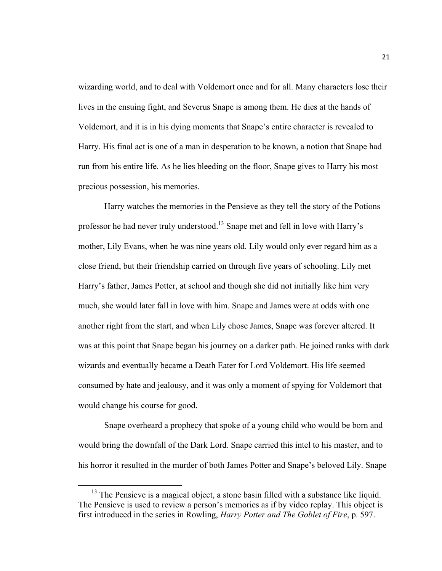wizarding world, and to deal with Voldemort once and for all. Many characters lose their lives in the ensuing fight, and Severus Snape is among them. He dies at the hands of Voldemort, and it is in his dying moments that Snape's entire character is revealed to Harry. His final act is one of a man in desperation to be known, a notion that Snape had run from his entire life. As he lies bleeding on the floor, Snape gives to Harry his most precious possession, his memories.

Harry watches the memories in the Pensieve as they tell the story of the Potions professor he had never truly understood. <sup>13</sup> Snape met and fell in love with Harry's mother, Lily Evans, when he was nine years old. Lily would only ever regard him as a close friend, but their friendship carried on through five years of schooling. Lily met Harry's father, James Potter, at school and though she did not initially like him very much, she would later fall in love with him. Snape and James were at odds with one another right from the start, and when Lily chose James, Snape was forever altered. It was at this point that Snape began his journey on a darker path. He joined ranks with dark wizards and eventually became a Death Eater for Lord Voldemort. His life seemed consumed by hate and jealousy, and it was only a moment of spying for Voldemort that would change his course for good.

Snape overheard a prophecy that spoke of a young child who would be born and would bring the downfall of the Dark Lord. Snape carried this intel to his master, and to his horror it resulted in the murder of both James Potter and Snape's beloved Lily. Snape

 $13$  The Pensieve is a magical object, a stone basin filled with a substance like liquid. The Pensieve is used to review a person's memories as if by video replay. This object is first introduced in the series in Rowling, *Harry Potter and The Goblet of Fire*, p. 597.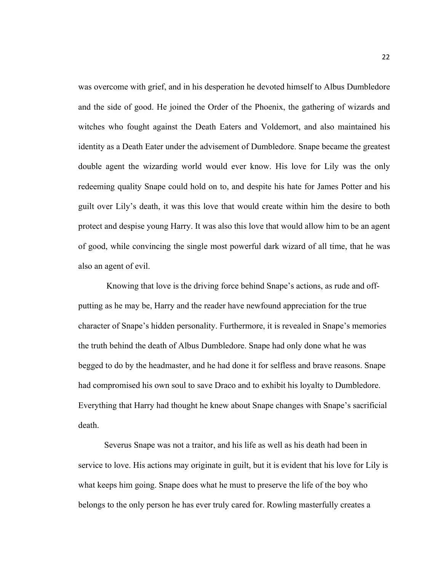was overcome with grief, and in his desperation he devoted himself to Albus Dumbledore and the side of good. He joined the Order of the Phoenix, the gathering of wizards and witches who fought against the Death Eaters and Voldemort, and also maintained his identity as a Death Eater under the advisement of Dumbledore. Snape became the greatest double agent the wizarding world would ever know. His love for Lily was the only redeeming quality Snape could hold on to, and despite his hate for James Potter and his guilt over Lily's death, it was this love that would create within him the desire to both protect and despise young Harry. It was also this love that would allow him to be an agent of good, while convincing the single most powerful dark wizard of all time, that he was also an agent of evil.

Knowing that love is the driving force behind Snape's actions, as rude and offputting as he may be, Harry and the reader have newfound appreciation for the true character of Snape's hidden personality. Furthermore, it is revealed in Snape's memories the truth behind the death of Albus Dumbledore. Snape had only done what he was begged to do by the headmaster, and he had done it for selfless and brave reasons. Snape had compromised his own soul to save Draco and to exhibit his loyalty to Dumbledore. Everything that Harry had thought he knew about Snape changes with Snape's sacrificial death.

Severus Snape was not a traitor, and his life as well as his death had been in service to love. His actions may originate in guilt, but it is evident that his love for Lily is what keeps him going. Snape does what he must to preserve the life of the boy who belongs to the only person he has ever truly cared for. Rowling masterfully creates a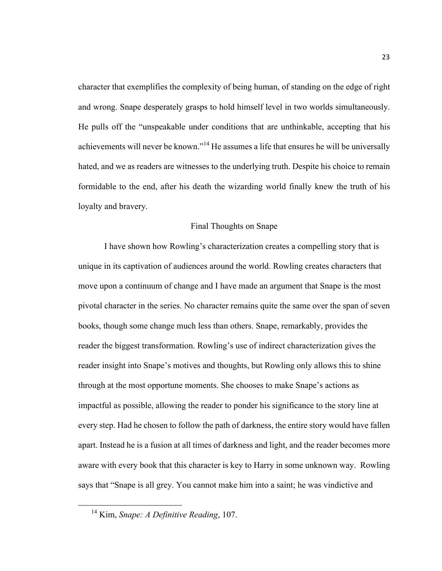character that exemplifies the complexity of being human, of standing on the edge of right and wrong. Snape desperately grasps to hold himself level in two worlds simultaneously. He pulls off the "unspeakable under conditions that are unthinkable, accepting that his achievements will never be known."<sup>14</sup> He assumes a life that ensures he will be universally hated, and we as readers are witnesses to the underlying truth. Despite his choice to remain formidable to the end, after his death the wizarding world finally knew the truth of his loyalty and bravery.

## Final Thoughts on Snape

I have shown how Rowling's characterization creates a compelling story that is unique in its captivation of audiences around the world. Rowling creates characters that move upon a continuum of change and I have made an argument that Snape is the most pivotal character in the series. No character remains quite the same over the span of seven books, though some change much less than others. Snape, remarkably, provides the reader the biggest transformation. Rowling's use of indirect characterization gives the reader insight into Snape's motives and thoughts, but Rowling only allows this to shine through at the most opportune moments. She chooses to make Snape's actions as impactful as possible, allowing the reader to ponder his significance to the story line at every step. Had he chosen to follow the path of darkness, the entire story would have fallen apart. Instead he is a fusion at all times of darkness and light, and the reader becomes more aware with every book that this character is key to Harry in some unknown way. Rowling says that "Snape is all grey. You cannot make him into a saint; he was vindictive and

 <sup>14</sup> Kim, *Snape: A Definitive Reading*, 107.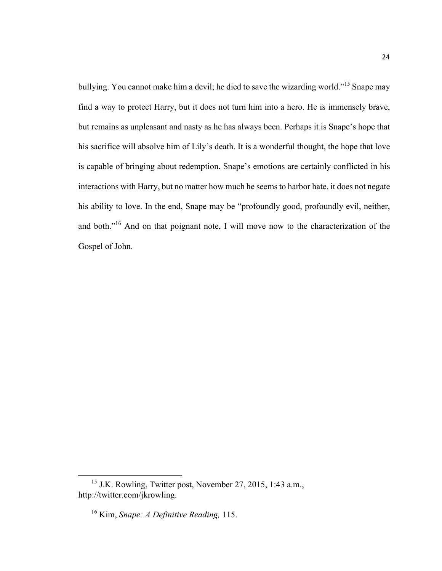bullying. You cannot make him a devil; he died to save the wizarding world."<sup>15</sup> Snape may find a way to protect Harry, but it does not turn him into a hero. He is immensely brave, but remains as unpleasant and nasty as he has always been. Perhaps it is Snape's hope that his sacrifice will absolve him of Lily's death. It is a wonderful thought, the hope that love is capable of bringing about redemption. Snape's emotions are certainly conflicted in his interactions with Harry, but no matter how much he seems to harbor hate, it does not negate his ability to love. In the end, Snape may be "profoundly good, profoundly evil, neither, and both."<sup>16</sup> And on that poignant note, I will move now to the characterization of the Gospel of John.

<sup>&</sup>lt;sup>15</sup> J.K. Rowling, Twitter post, November 27, 2015, 1:43 a.m., http://twitter.com/jkrowling.

<sup>16</sup> Kim, *Snape: A Definitive Reading,* 115.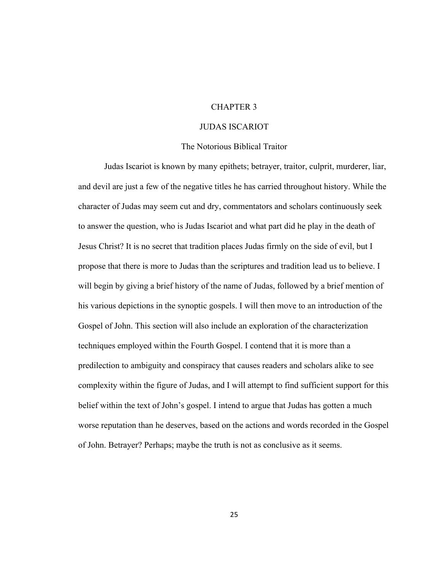## CHAPTER 3

## JUDAS ISCARIOT

#### The Notorious Biblical Traitor

Judas Iscariot is known by many epithets; betrayer, traitor, culprit, murderer, liar, and devil are just a few of the negative titles he has carried throughout history. While the character of Judas may seem cut and dry, commentators and scholars continuously seek to answer the question, who is Judas Iscariot and what part did he play in the death of Jesus Christ? It is no secret that tradition places Judas firmly on the side of evil, but I propose that there is more to Judas than the scriptures and tradition lead us to believe. I will begin by giving a brief history of the name of Judas, followed by a brief mention of his various depictions in the synoptic gospels. I will then move to an introduction of the Gospel of John. This section will also include an exploration of the characterization techniques employed within the Fourth Gospel. I contend that it is more than a predilection to ambiguity and conspiracy that causes readers and scholars alike to see complexity within the figure of Judas, and I will attempt to find sufficient support for this belief within the text of John's gospel. I intend to argue that Judas has gotten a much worse reputation than he deserves, based on the actions and words recorded in the Gospel of John. Betrayer? Perhaps; maybe the truth is not as conclusive as it seems.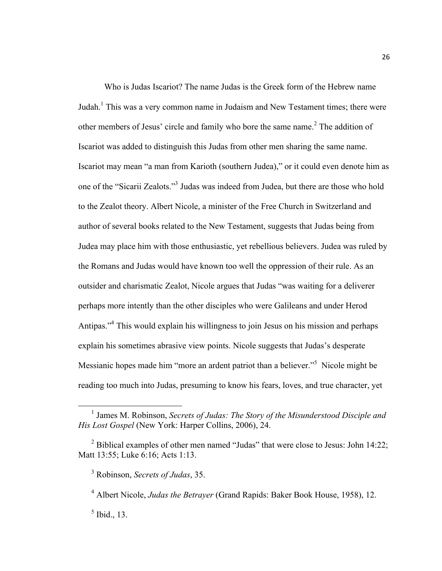Who is Judas Iscariot? The name Judas is the Greek form of the Hebrew name Judah.<sup>1</sup> This was a very common name in Judaism and New Testament times; there were other members of Jesus' circle and family who bore the same name. <sup>2</sup> The addition of Iscariot was added to distinguish this Judas from other men sharing the same name. Iscariot may mean "a man from Karioth (southern Judea)," or it could even denote him as one of the "Sicarii Zealots."3 Judas was indeed from Judea, but there are those who hold to the Zealot theory. Albert Nicole, a minister of the Free Church in Switzerland and author of several books related to the New Testament, suggests that Judas being from Judea may place him with those enthusiastic, yet rebellious believers. Judea was ruled by the Romans and Judas would have known too well the oppression of their rule. As an outsider and charismatic Zealot, Nicole argues that Judas "was waiting for a deliverer perhaps more intently than the other disciples who were Galileans and under Herod Antipas."4 This would explain his willingness to join Jesus on his mission and perhaps explain his sometimes abrasive view points. Nicole suggests that Judas's desperate Messianic hopes made him "more an ardent patriot than a believer."<sup>5</sup> Nicole might be reading too much into Judas, presuming to know his fears, loves, and true character, yet

 <sup>1</sup> James M. Robinson, *Secrets of Judas: The Story of the Misunderstood Disciple and His Lost Gospel* (New York: Harper Collins, 2006), 24.

 $2$  Biblical examples of other men named "Judas" that were close to Jesus: John 14:22; Matt 13:55; Luke 6:16; Acts 1:13.

<sup>3</sup> Robinson, *Secrets of Judas*, 35.

<sup>4</sup> Albert Nicole, *Judas the Betrayer* (Grand Rapids: Baker Book House, 1958), 12.

 $<sup>5</sup>$  Ibid., 13.</sup>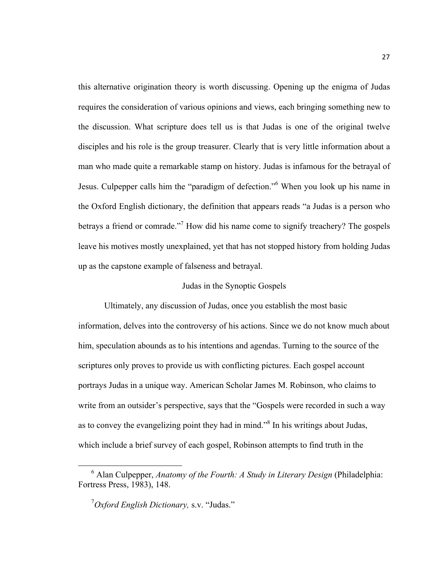this alternative origination theory is worth discussing. Opening up the enigma of Judas requires the consideration of various opinions and views, each bringing something new to the discussion. What scripture does tell us is that Judas is one of the original twelve disciples and his role is the group treasurer. Clearly that is very little information about a man who made quite a remarkable stamp on history. Judas is infamous for the betrayal of Jesus. Culpepper calls him the "paradigm of defection."6 When you look up his name in the Oxford English dictionary, the definition that appears reads "a Judas is a person who betrays a friend or comrade."7 How did his name come to signify treachery? The gospels leave his motives mostly unexplained, yet that has not stopped history from holding Judas up as the capstone example of falseness and betrayal.

## Judas in the Synoptic Gospels

Ultimately, any discussion of Judas, once you establish the most basic information, delves into the controversy of his actions. Since we do not know much about him, speculation abounds as to his intentions and agendas. Turning to the source of the scriptures only proves to provide us with conflicting pictures. Each gospel account portrays Judas in a unique way. American Scholar James M. Robinson, who claims to write from an outsider's perspective, says that the "Gospels were recorded in such a way as to convey the evangelizing point they had in mind."8 In his writings about Judas, which include a brief survey of each gospel, Robinson attempts to find truth in the

<sup>&</sup>lt;sup>6</sup> Alan Culpepper, *Anatomy of the Fourth: A Study in Literary Design* (Philadelphia: Fortress Press, 1983), 148.

<sup>7</sup> *Oxford English Dictionary,* s.v. "Judas."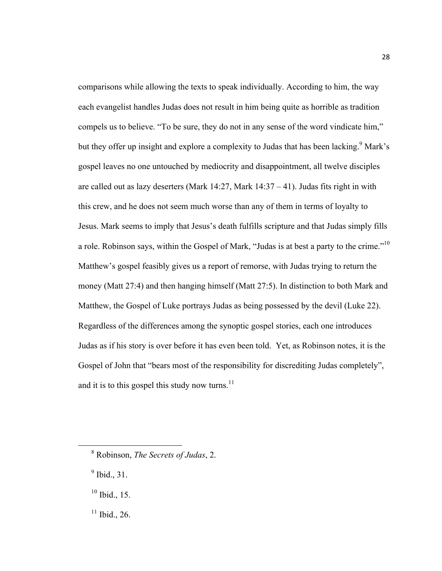comparisons while allowing the texts to speak individually. According to him, the way each evangelist handles Judas does not result in him being quite as horrible as tradition compels us to believe. "To be sure, they do not in any sense of the word vindicate him," but they offer up insight and explore a complexity to Judas that has been lacking.<sup>9</sup> Mark's gospel leaves no one untouched by mediocrity and disappointment, all twelve disciples are called out as lazy deserters (Mark  $14:27$ , Mark  $14:37 - 41$ ). Judas fits right in with this crew, and he does not seem much worse than any of them in terms of loyalty to Jesus. Mark seems to imply that Jesus's death fulfills scripture and that Judas simply fills a role. Robinson says, within the Gospel of Mark, "Judas is at best a party to the crime."<sup>10</sup> Matthew's gospel feasibly gives us a report of remorse, with Judas trying to return the money (Matt 27:4) and then hanging himself (Matt 27:5). In distinction to both Mark and Matthew, the Gospel of Luke portrays Judas as being possessed by the devil (Luke 22). Regardless of the differences among the synoptic gospel stories, each one introduces Judas as if his story is over before it has even been told. Yet, as Robinson notes, it is the Gospel of John that "bears most of the responsibility for discrediting Judas completely", and it is to this gospel this study now turns.<sup>11</sup>

- $<sup>9</sup>$  Ibid., 31.</sup>
- $10$  Ibid., 15.
- $11$  Ibid., 26.

 <sup>8</sup> Robinson, *The Secrets of Judas*, 2.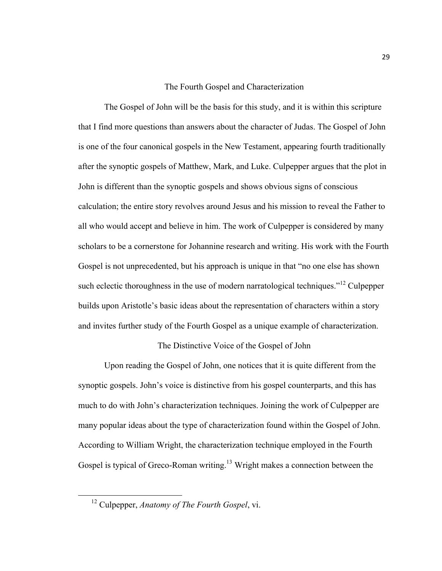## The Fourth Gospel and Characterization

The Gospel of John will be the basis for this study, and it is within this scripture that I find more questions than answers about the character of Judas. The Gospel of John is one of the four canonical gospels in the New Testament, appearing fourth traditionally after the synoptic gospels of Matthew, Mark, and Luke. Culpepper argues that the plot in John is different than the synoptic gospels and shows obvious signs of conscious calculation; the entire story revolves around Jesus and his mission to reveal the Father to all who would accept and believe in him. The work of Culpepper is considered by many scholars to be a cornerstone for Johannine research and writing. His work with the Fourth Gospel is not unprecedented, but his approach is unique in that "no one else has shown such eclectic thoroughness in the use of modern narratological techniques.<sup> $12$ </sup> Culpepper builds upon Aristotle's basic ideas about the representation of characters within a story and invites further study of the Fourth Gospel as a unique example of characterization.

## The Distinctive Voice of the Gospel of John

Upon reading the Gospel of John, one notices that it is quite different from the synoptic gospels. John's voice is distinctive from his gospel counterparts, and this has much to do with John's characterization techniques. Joining the work of Culpepper are many popular ideas about the type of characterization found within the Gospel of John. According to William Wright, the characterization technique employed in the Fourth Gospel is typical of Greco-Roman writing.<sup>13</sup> Wright makes a connection between the

 <sup>12</sup> Culpepper, *Anatomy of The Fourth Gospel*, vi.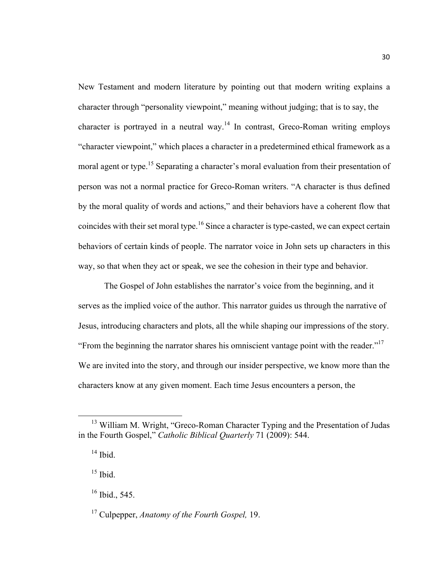New Testament and modern literature by pointing out that modern writing explains a character through "personality viewpoint," meaning without judging; that is to say, the character is portrayed in a neutral way.<sup>14</sup> In contrast, Greco-Roman writing employs "character viewpoint," which places a character in a predetermined ethical framework as a moral agent or type.<sup>15</sup> Separating a character's moral evaluation from their presentation of person was not a normal practice for Greco-Roman writers. "A character is thus defined by the moral quality of words and actions," and their behaviors have a coherent flow that coincides with their set moral type.<sup>16</sup> Since a character is type-casted, we can expect certain behaviors of certain kinds of people. The narrator voice in John sets up characters in this way, so that when they act or speak, we see the cohesion in their type and behavior.

The Gospel of John establishes the narrator's voice from the beginning, and it serves as the implied voice of the author. This narrator guides us through the narrative of Jesus, introducing characters and plots, all the while shaping our impressions of the story. "From the beginning the narrator shares his omniscient vantage point with the reader."17 We are invited into the story, and through our insider perspective, we know more than the characters know at any given moment. Each time Jesus encounters a person, the

<sup>&</sup>lt;sup>13</sup> William M. Wright, "Greco-Roman Character Typing and the Presentation of Judas in the Fourth Gospel," *Catholic Biblical Quarterly* 71 (2009): 544.

 $14$  Ibid.

 $15$  Ibid.

 $16$  Ibid., 545.

<sup>17</sup> Culpepper, *Anatomy of the Fourth Gospel,* 19.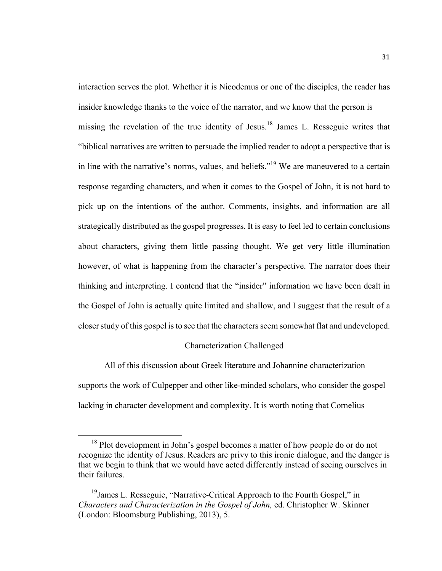interaction serves the plot. Whether it is Nicodemus or one of the disciples, the reader has insider knowledge thanks to the voice of the narrator, and we know that the person is missing the revelation of the true identity of Jesus.<sup>18</sup> James L. Resseguie writes that "biblical narratives are written to persuade the implied reader to adopt a perspective that is in line with the narrative's norms, values, and beliefs."<sup>19</sup> We are maneuvered to a certain response regarding characters, and when it comes to the Gospel of John, it is not hard to pick up on the intentions of the author. Comments, insights, and information are all strategically distributed as the gospel progresses. It is easy to feel led to certain conclusions about characters, giving them little passing thought. We get very little illumination however, of what is happening from the character's perspective. The narrator does their thinking and interpreting. I contend that the "insider" information we have been dealt in the Gospel of John is actually quite limited and shallow, and I suggest that the result of a closer study of this gospel is to see that the characters seem somewhat flat and undeveloped.

#### Characterization Challenged

All of this discussion about Greek literature and Johannine characterization supports the work of Culpepper and other like-minded scholars, who consider the gospel lacking in character development and complexity. It is worth noting that Cornelius

<sup>&</sup>lt;sup>18</sup> Plot development in John's gospel becomes a matter of how people do or do not recognize the identity of Jesus. Readers are privy to this ironic dialogue, and the danger is that we begin to think that we would have acted differently instead of seeing ourselves in their failures.

<sup>&</sup>lt;sup>19</sup> James L. Resseguie, "Narrative-Critical Approach to the Fourth Gospel," in *Characters and Characterization in the Gospel of John,* ed. Christopher W. Skinner (London: Bloomsburg Publishing, 2013), 5.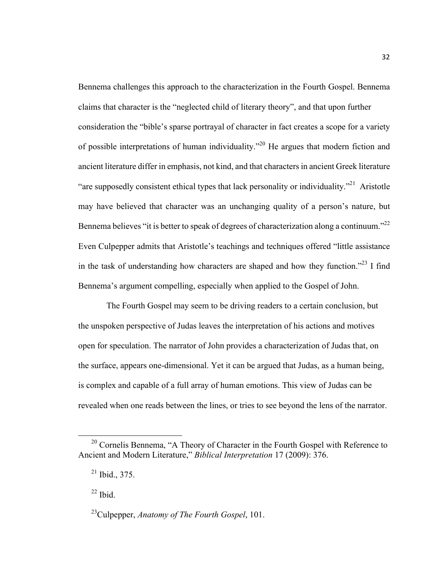Bennema challenges this approach to the characterization in the Fourth Gospel. Bennema claims that character is the "neglected child of literary theory", and that upon further consideration the "bible's sparse portrayal of character in fact creates a scope for a variety of possible interpretations of human individuality."20 He argues that modern fiction and ancient literature differ in emphasis, not kind, and that characters in ancient Greek literature "are supposedly consistent ethical types that lack personality or individuality."<sup>21</sup> Aristotle may have believed that character was an unchanging quality of a person's nature, but Bennema believes "it is better to speak of degrees of characterization along a continuum."<sup>22</sup> Even Culpepper admits that Aristotle's teachings and techniques offered "little assistance in the task of understanding how characters are shaped and how they function."<sup>23</sup> I find Bennema's argument compelling, especially when applied to the Gospel of John.

The Fourth Gospel may seem to be driving readers to a certain conclusion, but the unspoken perspective of Judas leaves the interpretation of his actions and motives open for speculation. The narrator of John provides a characterization of Judas that, on the surface, appears one-dimensional. Yet it can be argued that Judas, as a human being, is complex and capable of a full array of human emotions. This view of Judas can be revealed when one reads between the lines, or tries to see beyond the lens of the narrator.

<sup>&</sup>lt;sup>20</sup> Cornelis Bennema, "A Theory of Character in the Fourth Gospel with Reference to Ancient and Modern Literature," *Biblical Interpretation* 17 (2009): 376.

<sup>21</sup> Ibid., 375.

 $22$  Ibid.

<sup>23</sup>Culpepper, *Anatomy of The Fourth Gospel*, 101.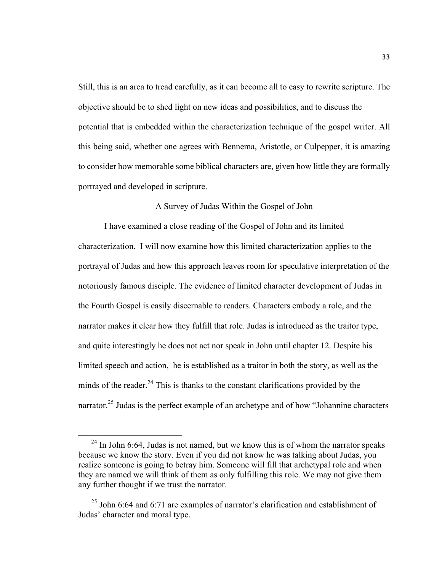Still, this is an area to tread carefully, as it can become all to easy to rewrite scripture. The objective should be to shed light on new ideas and possibilities, and to discuss the potential that is embedded within the characterization technique of the gospel writer. All this being said, whether one agrees with Bennema, Aristotle, or Culpepper, it is amazing to consider how memorable some biblical characters are, given how little they are formally portrayed and developed in scripture.

## A Survey of Judas Within the Gospel of John

I have examined a close reading of the Gospel of John and its limited characterization. I will now examine how this limited characterization applies to the portrayal of Judas and how this approach leaves room for speculative interpretation of the notoriously famous disciple. The evidence of limited character development of Judas in the Fourth Gospel is easily discernable to readers. Characters embody a role, and the narrator makes it clear how they fulfill that role. Judas is introduced as the traitor type, and quite interestingly he does not act nor speak in John until chapter 12. Despite his limited speech and action, he is established as a traitor in both the story, as well as the minds of the reader. $^{24}$  This is thanks to the constant clarifications provided by the narrator.<sup>25</sup> Judas is the perfect example of an archetype and of how "Johannine characters"

 $^{24}$  In John 6:64, Judas is not named, but we know this is of whom the narrator speaks because we know the story. Even if you did not know he was talking about Judas, you realize someone is going to betray him. Someone will fill that archetypal role and when they are named we will think of them as only fulfilling this role. We may not give them any further thought if we trust the narrator.

 $^{25}$  John 6:64 and 6:71 are examples of narrator's clarification and establishment of Judas' character and moral type.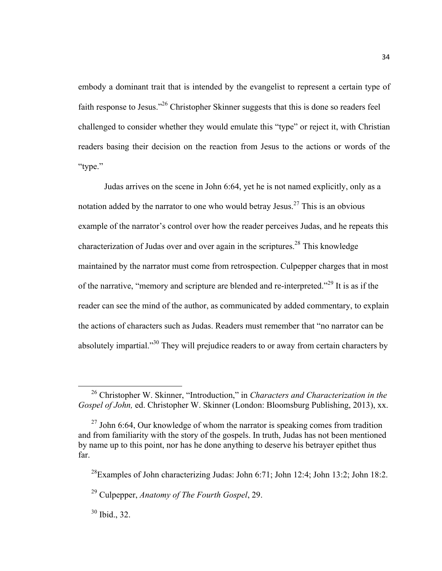embody a dominant trait that is intended by the evangelist to represent a certain type of faith response to Jesus."<sup>26</sup> Christopher Skinner suggests that this is done so readers feel challenged to consider whether they would emulate this "type" or reject it, with Christian readers basing their decision on the reaction from Jesus to the actions or words of the "type."

Judas arrives on the scene in John 6:64, yet he is not named explicitly, only as a notation added by the narrator to one who would betray Jesus.<sup>27</sup> This is an obvious example of the narrator's control over how the reader perceives Judas, and he repeats this characterization of Judas over and over again in the scriptures.<sup>28</sup> This knowledge maintained by the narrator must come from retrospection. Culpepper charges that in most of the narrative, "memory and scripture are blended and re-interpreted."<sup>29</sup> It is as if the reader can see the mind of the author, as communicated by added commentary, to explain the actions of characters such as Judas. Readers must remember that "no narrator can be absolutely impartial."<sup>30</sup> They will prejudice readers to or away from certain characters by

 <sup>26</sup> Christopher W. Skinner, "Introduction," in *Characters and Characterization in the Gospel of John,* ed. Christopher W. Skinner (London: Bloomsburg Publishing, 2013), xx.

 $27$  John 6:64, Our knowledge of whom the narrator is speaking comes from tradition and from familiarity with the story of the gospels. In truth, Judas has not been mentioned by name up to this point, nor has he done anything to deserve his betrayer epithet thus far.

<sup>28</sup>Examples of John characterizing Judas: John 6:71; John 12:4; John 13:2; John 18:2.

<sup>29</sup> Culpepper, *Anatomy of The Fourth Gospel*, 29.

 $30$  Ibid., 32.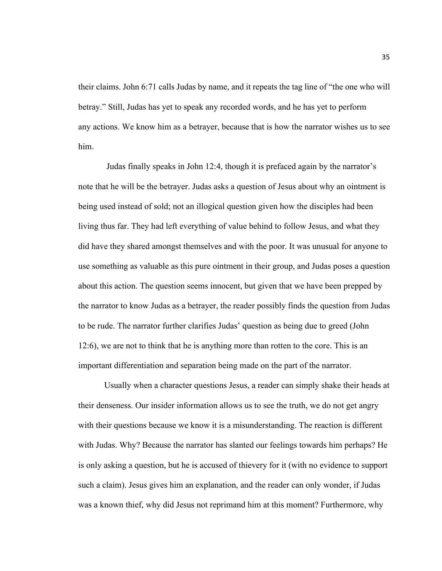their claims. John 6:71 calls Judas by name, and it repeats the tag line of "the one who will betray." Still, Judas has yet to speak any recorded words, and he has yet to perform any actions. We know him as a betrayer, because that is how the narrator wishes us to see him.

Judas finally speaks in John 12:4, though it is prefaced again by the narrator's note that he will be the betrayer. Judas asks a question of Jesus about why an ointment is being used instead of sold; not an illogical question given how the disciples had been living thus far. They had left everything of value behind to follow Jesus, and what they did have they shared amongst themselves and with the poor. It was unusual for anyone to use something as valuable as this pure ointment in their group, and Judas poses a question about this action. The question seems innocent, but given that we have been prepped by the narrator to know Judas as a betrayer, the reader possibly finds the question from Judas to be rude. The narrator further clarifies Judas' question as being due to greed (John 12:6), we are not to think that he is anything more than rotten to the core. This is an important differentiation and separation being made on the part of the narrator.

Usually when a character questions Jesus, a reader can simply shake their heads at their denseness. Our insider information allows us to see the truth, we do not get angry with their questions because we know it is a misunderstanding. The reaction is different with Judas. Why? Because the narrator has slanted our feelings towards him perhaps? He is only asking a question, but he is accused of thievery for it (with no evidence to support such a claim). Jesus gives him an explanation, and the reader can only wonder, if Judas was a known thief, why did Jesus not reprimand him at this moment? Furthermore, why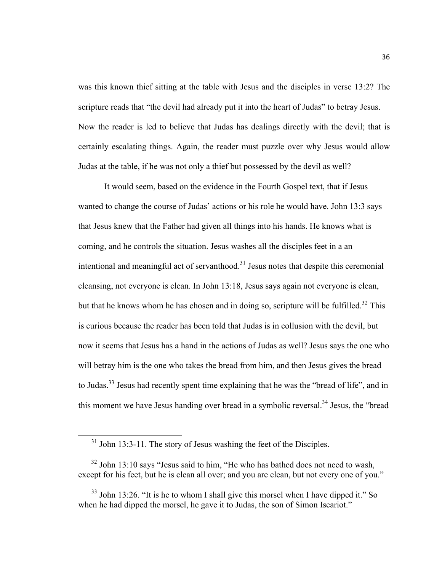was this known thief sitting at the table with Jesus and the disciples in verse 13:2? The scripture reads that "the devil had already put it into the heart of Judas" to betray Jesus. Now the reader is led to believe that Judas has dealings directly with the devil; that is certainly escalating things. Again, the reader must puzzle over why Jesus would allow Judas at the table, if he was not only a thief but possessed by the devil as well?

It would seem, based on the evidence in the Fourth Gospel text, that if Jesus wanted to change the course of Judas' actions or his role he would have. John 13:3 says that Jesus knew that the Father had given all things into his hands. He knows what is coming, and he controls the situation. Jesus washes all the disciples feet in a an intentional and meaningful act of servanthood.<sup>31</sup> Jesus notes that despite this ceremonial cleansing, not everyone is clean. In John 13:18, Jesus says again not everyone is clean, but that he knows whom he has chosen and in doing so, scripture will be fulfilled.<sup>32</sup> This is curious because the reader has been told that Judas is in collusion with the devil, but now it seems that Jesus has a hand in the actions of Judas as well? Jesus says the one who will betray him is the one who takes the bread from him, and then Jesus gives the bread to Judas.<sup>33</sup> Jesus had recently spent time explaining that he was the "bread of life", and in this moment we have Jesus handing over bread in a symbolic reversal.<sup>34</sup> Jesus, the "bread"

<sup>&</sup>lt;sup>31</sup> John 13:3-11. The story of Jesus washing the feet of the Disciples.

 $32$  John 13:10 says "Jesus said to him, "He who has bathed does not need to wash, except for his feet, but he is clean all over; and you are clean, but not every one of you."

 $33$  John 13:26. "It is he to whom I shall give this morsel when I have dipped it." So when he had dipped the morsel, he gave it to Judas, the son of Simon Iscariot."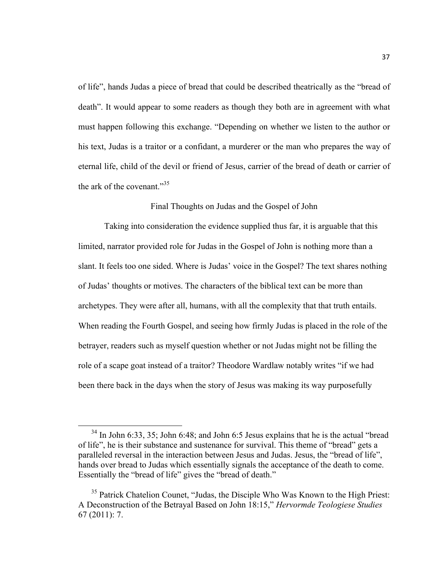of life", hands Judas a piece of bread that could be described theatrically as the "bread of death". It would appear to some readers as though they both are in agreement with what must happen following this exchange. "Depending on whether we listen to the author or his text, Judas is a traitor or a confidant, a murderer or the man who prepares the way of eternal life, child of the devil or friend of Jesus, carrier of the bread of death or carrier of the ark of the covenant." $35$ 

## Final Thoughts on Judas and the Gospel of John

Taking into consideration the evidence supplied thus far, it is arguable that this limited, narrator provided role for Judas in the Gospel of John is nothing more than a slant. It feels too one sided. Where is Judas' voice in the Gospel? The text shares nothing of Judas' thoughts or motives. The characters of the biblical text can be more than archetypes. They were after all, humans, with all the complexity that that truth entails. When reading the Fourth Gospel, and seeing how firmly Judas is placed in the role of the betrayer, readers such as myself question whether or not Judas might not be filling the role of a scape goat instead of a traitor? Theodore Wardlaw notably writes "if we had been there back in the days when the story of Jesus was making its way purposefully

 $34$  In John 6:33, 35; John 6:48; and John 6:5 Jesus explains that he is the actual "bread" of life", he is their substance and sustenance for survival. This theme of "bread" gets a paralleled reversal in the interaction between Jesus and Judas. Jesus, the "bread of life", hands over bread to Judas which essentially signals the acceptance of the death to come. Essentially the "bread of life" gives the "bread of death."

<sup>&</sup>lt;sup>35</sup> Patrick Chatelion Counet, "Judas, the Disciple Who Was Known to the High Priest: A Deconstruction of the Betrayal Based on John 18:15," *Hervormde Teologiese Studies*  67 (2011): 7.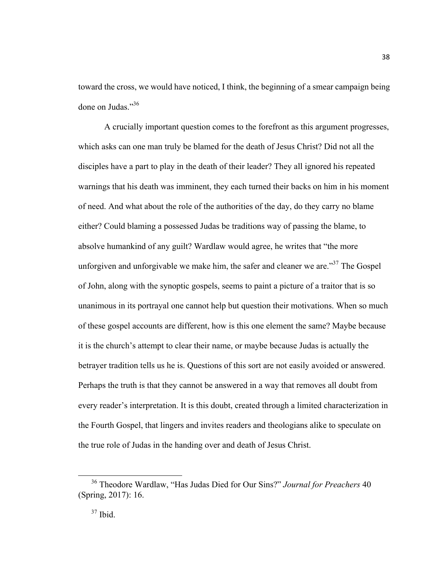toward the cross, we would have noticed, I think, the beginning of a smear campaign being done on Judas."36

A crucially important question comes to the forefront as this argument progresses, which asks can one man truly be blamed for the death of Jesus Christ? Did not all the disciples have a part to play in the death of their leader? They all ignored his repeated warnings that his death was imminent, they each turned their backs on him in his moment of need. And what about the role of the authorities of the day, do they carry no blame either? Could blaming a possessed Judas be traditions way of passing the blame, to absolve humankind of any guilt? Wardlaw would agree, he writes that "the more unforgiven and unforgivable we make him, the safer and cleaner we are.<sup> $37$ </sup> The Gospel of John, along with the synoptic gospels, seems to paint a picture of a traitor that is so unanimous in its portrayal one cannot help but question their motivations. When so much of these gospel accounts are different, how is this one element the same? Maybe because it is the church's attempt to clear their name, or maybe because Judas is actually the betrayer tradition tells us he is. Questions of this sort are not easily avoided or answered. Perhaps the truth is that they cannot be answered in a way that removes all doubt from every reader's interpretation. It is this doubt, created through a limited characterization in the Fourth Gospel, that lingers and invites readers and theologians alike to speculate on the true role of Judas in the handing over and death of Jesus Christ.

 <sup>36</sup> Theodore Wardlaw, "Has Judas Died for Our Sins?" *Journal for Preachers* <sup>40</sup> (Spring, 2017): 16.

 $37$  Ibid.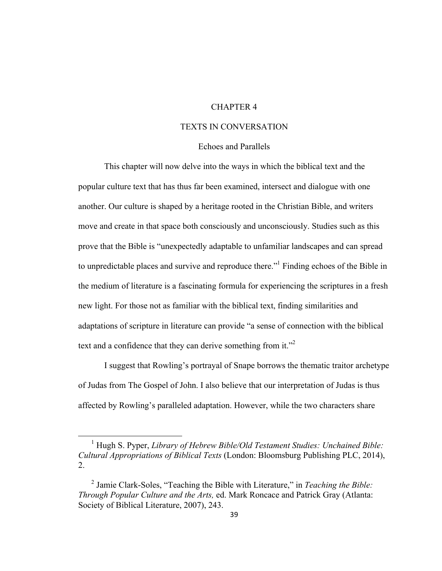## CHAPTER 4

## TEXTS IN CONVERSATION

## Echoes and Parallels

This chapter will now delve into the ways in which the biblical text and the popular culture text that has thus far been examined, intersect and dialogue with one another. Our culture is shaped by a heritage rooted in the Christian Bible, and writers move and create in that space both consciously and unconsciously. Studies such as this prove that the Bible is "unexpectedly adaptable to unfamiliar landscapes and can spread to unpredictable places and survive and reproduce there."1 Finding echoes of the Bible in the medium of literature is a fascinating formula for experiencing the scriptures in a fresh new light. For those not as familiar with the biblical text, finding similarities and adaptations of scripture in literature can provide "a sense of connection with the biblical text and a confidence that they can derive something from it.<sup>"2</sup>

I suggest that Rowling's portrayal of Snape borrows the thematic traitor archetype of Judas from The Gospel of John. I also believe that our interpretation of Judas is thus affected by Rowling's paralleled adaptation. However, while the two characters share

<sup>&</sup>lt;sup>1</sup> Hugh S. Pyper, *Library of Hebrew Bible/Old Testament Studies: Unchained Bible: Cultural Appropriations of Biblical Texts* (London: Bloomsburg Publishing PLC, 2014), 2.

<sup>2</sup> Jamie Clark-Soles, "Teaching the Bible with Literature," in *Teaching the Bible: Through Popular Culture and the Arts,* ed. Mark Roncace and Patrick Gray (Atlanta: Society of Biblical Literature, 2007), 243.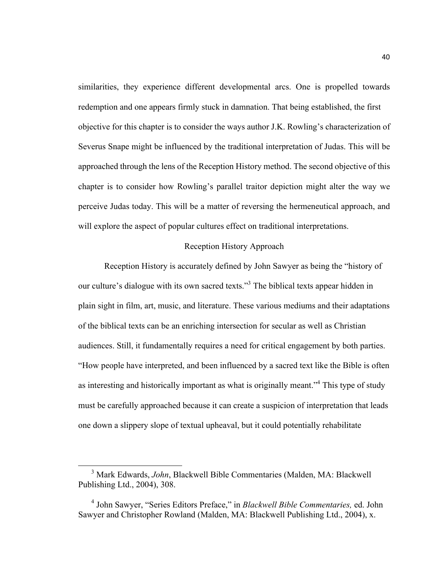similarities, they experience different developmental arcs. One is propelled towards redemption and one appears firmly stuck in damnation. That being established, the first objective for this chapter is to consider the ways author J.K. Rowling's characterization of Severus Snape might be influenced by the traditional interpretation of Judas. This will be approached through the lens of the Reception History method. The second objective of this chapter is to consider how Rowling's parallel traitor depiction might alter the way we perceive Judas today. This will be a matter of reversing the hermeneutical approach, and will explore the aspect of popular cultures effect on traditional interpretations.

## Reception History Approach

Reception History is accurately defined by John Sawyer as being the "history of our culture's dialogue with its own sacred texts."3 The biblical texts appear hidden in plain sight in film, art, music, and literature. These various mediums and their adaptations of the biblical texts can be an enriching intersection for secular as well as Christian audiences. Still, it fundamentally requires a need for critical engagement by both parties. "How people have interpreted, and been influenced by a sacred text like the Bible is often as interesting and historically important as what is originally meant.<sup>34</sup> This type of study must be carefully approached because it can create a suspicion of interpretation that leads one down a slippery slope of textual upheaval, but it could potentially rehabilitate

 <sup>3</sup> Mark Edwards, *John*, Blackwell Bible Commentaries (Malden, MA: Blackwell Publishing Ltd., 2004), 308.

<sup>4</sup> John Sawyer, "Series Editors Preface," in *Blackwell Bible Commentaries,* ed. John Sawyer and Christopher Rowland (Malden, MA: Blackwell Publishing Ltd., 2004), x.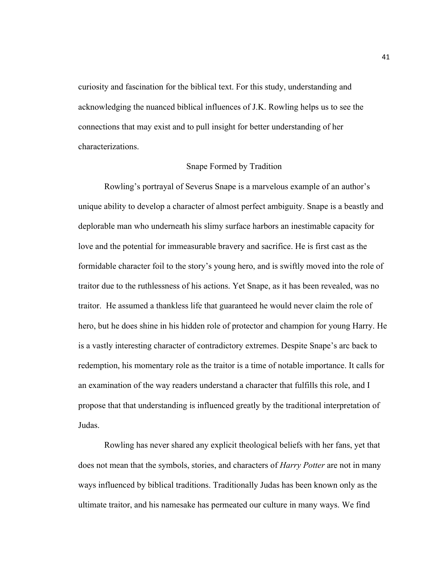curiosity and fascination for the biblical text. For this study, understanding and acknowledging the nuanced biblical influences of J.K. Rowling helps us to see the connections that may exist and to pull insight for better understanding of her characterizations.

#### Snape Formed by Tradition

Rowling's portrayal of Severus Snape is a marvelous example of an author's unique ability to develop a character of almost perfect ambiguity. Snape is a beastly and deplorable man who underneath his slimy surface harbors an inestimable capacity for love and the potential for immeasurable bravery and sacrifice. He is first cast as the formidable character foil to the story's young hero, and is swiftly moved into the role of traitor due to the ruthlessness of his actions. Yet Snape, as it has been revealed, was no traitor. He assumed a thankless life that guaranteed he would never claim the role of hero, but he does shine in his hidden role of protector and champion for young Harry. He is a vastly interesting character of contradictory extremes. Despite Snape's arc back to redemption, his momentary role as the traitor is a time of notable importance. It calls for an examination of the way readers understand a character that fulfills this role, and I propose that that understanding is influenced greatly by the traditional interpretation of Judas.

Rowling has never shared any explicit theological beliefs with her fans, yet that does not mean that the symbols, stories, and characters of *Harry Potter* are not in many ways influenced by biblical traditions. Traditionally Judas has been known only as the ultimate traitor, and his namesake has permeated our culture in many ways. We find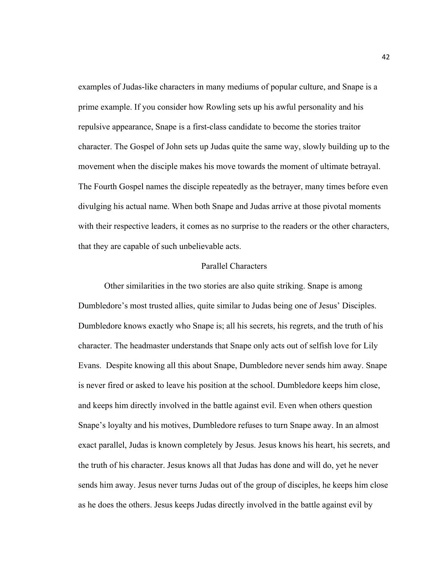examples of Judas-like characters in many mediums of popular culture, and Snape is a prime example. If you consider how Rowling sets up his awful personality and his repulsive appearance, Snape is a first-class candidate to become the stories traitor character. The Gospel of John sets up Judas quite the same way, slowly building up to the movement when the disciple makes his move towards the moment of ultimate betrayal. The Fourth Gospel names the disciple repeatedly as the betrayer, many times before even divulging his actual name. When both Snape and Judas arrive at those pivotal moments with their respective leaders, it comes as no surprise to the readers or the other characters, that they are capable of such unbelievable acts.

## Parallel Characters

Other similarities in the two stories are also quite striking. Snape is among Dumbledore's most trusted allies, quite similar to Judas being one of Jesus' Disciples. Dumbledore knows exactly who Snape is; all his secrets, his regrets, and the truth of his character. The headmaster understands that Snape only acts out of selfish love for Lily Evans. Despite knowing all this about Snape, Dumbledore never sends him away. Snape is never fired or asked to leave his position at the school. Dumbledore keeps him close, and keeps him directly involved in the battle against evil. Even when others question Snape's loyalty and his motives, Dumbledore refuses to turn Snape away. In an almost exact parallel, Judas is known completely by Jesus. Jesus knows his heart, his secrets, and the truth of his character. Jesus knows all that Judas has done and will do, yet he never sends him away. Jesus never turns Judas out of the group of disciples, he keeps him close as he does the others. Jesus keeps Judas directly involved in the battle against evil by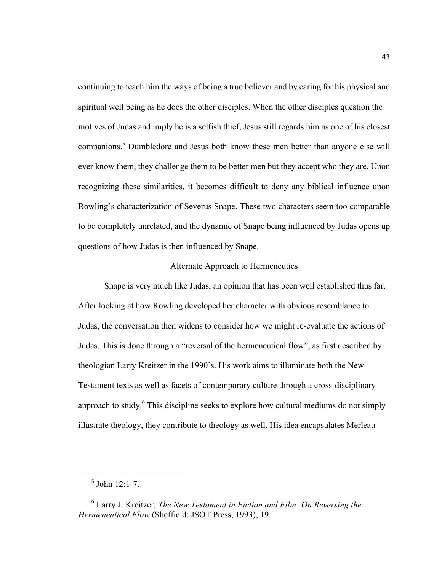continuing to teach him the ways of being a true believer and by caring for his physical and spiritual well being as he does the other disciples. When the other disciples question the motives of Judas and imply he is a selfish thief, Jesus still regards him as one of his closest companions.5 Dumbledore and Jesus both know these men better than anyone else will ever know them, they challenge them to be better men but they accept who they are. Upon recognizing these similarities, it becomes difficult to deny any biblical influence upon Rowling's characterization of Severus Snape. These two characters seem too comparable to be completely unrelated, and the dynamic of Snape being influenced by Judas opens up questions of how Judas is then influenced by Snape.

## Alternate Approach to Hermeneutics

Snape is very much like Judas, an opinion that has been well established thus far. After looking at how Rowling developed her character with obvious resemblance to Judas, the conversation then widens to consider how we might re-evaluate the actions of Judas. This is done through a "reversal of the hermeneutical flow", as first described by theologian Larry Kreitzer in the 1990's. His work aims to illuminate both the New Testament texts as well as facets of contemporary culture through a cross-disciplinary approach to study. $6$  This discipline seeks to explore how cultural mediums do not simply illustrate theology, they contribute to theology as well. His idea encapsulates Merleau-

<u> 1989 - Johann Barn, mars ann an t-Amhain an t-Amhain an t-Amhain an t-Amhain an t-Amhain an t-Amhain an t-Amh</u>

 $5$  John 12:1-7.

<sup>6</sup> Larry J. Kreitzer, *The New Testament in Fiction and Film: On Reversing the Hermeneutical Flow* (Sheffield: JSOT Press, 1993), 19.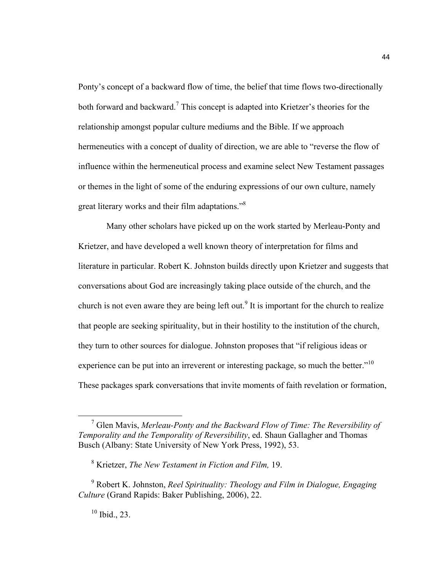Ponty's concept of a backward flow of time, the belief that time flows two-directionally both forward and backward.<sup>7</sup> This concept is adapted into Krietzer's theories for the relationship amongst popular culture mediums and the Bible. If we approach hermeneutics with a concept of duality of direction, we are able to "reverse the flow of influence within the hermeneutical process and examine select New Testament passages or themes in the light of some of the enduring expressions of our own culture, namely great literary works and their film adaptations."<sup>8</sup>

Many other scholars have picked up on the work started by Merleau-Ponty and Krietzer, and have developed a well known theory of interpretation for films and literature in particular. Robert K. Johnston builds directly upon Krietzer and suggests that conversations about God are increasingly taking place outside of the church, and the church is not even aware they are being left out.<sup>9</sup> It is important for the church to realize that people are seeking spirituality, but in their hostility to the institution of the church, they turn to other sources for dialogue. Johnston proposes that "if religious ideas or experience can be put into an irreverent or interesting package, so much the better. $10$ <sup>10</sup> These packages spark conversations that invite moments of faith revelation or formation,

 <sup>7</sup> Glen Mavis, *Merleau-Ponty and the Backward Flow of Time: The Reversibility of Temporality and the Temporality of Reversibility*, ed. Shaun Gallagher and Thomas Busch (Albany: State University of New York Press, 1992), 53.

<sup>8</sup> Krietzer, *The New Testament in Fiction and Film,* 19.

<sup>9</sup> Robert K. Johnston, *Reel Spirituality: Theology and Film in Dialogue, Engaging Culture* (Grand Rapids: Baker Publishing, 2006), 22.

<sup>10</sup> Ibid., 23.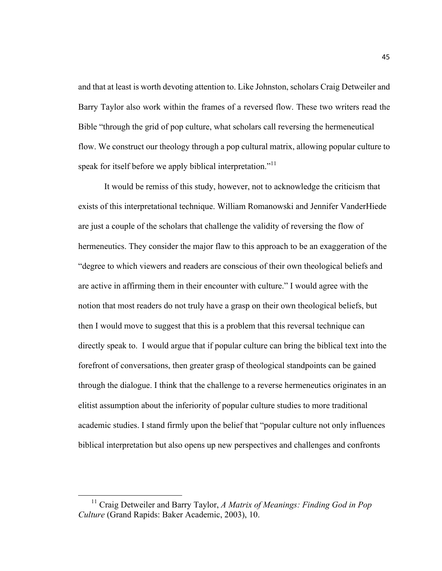and that at least is worth devoting attention to. Like Johnston, scholars Craig Detweiler and Barry Taylor also work within the frames of a reversed flow. These two writers read the Bible "through the grid of pop culture, what scholars call reversing the hermeneutical flow. We construct our theology through a pop cultural matrix, allowing popular culture to speak for itself before we apply biblical interpretation."<sup>11</sup>

It would be remiss of this study, however, not to acknowledge the criticism that exists of this interpretational technique. William Romanowski and Jennifer VanderHiede are just a couple of the scholars that challenge the validity of reversing the flow of hermeneutics. They consider the major flaw to this approach to be an exaggeration of the "degree to which viewers and readers are conscious of their own theological beliefs and are active in affirming them in their encounter with culture." I would agree with the notion that most readers do not truly have a grasp on their own theological beliefs, but then I would move to suggest that this is a problem that this reversal technique can directly speak to. I would argue that if popular culture can bring the biblical text into the forefront of conversations, then greater grasp of theological standpoints can be gained through the dialogue. I think that the challenge to a reverse hermeneutics originates in an elitist assumption about the inferiority of popular culture studies to more traditional academic studies. I stand firmly upon the belief that "popular culture not only influences biblical interpretation but also opens up new perspectives and challenges and confronts

<sup>&</sup>lt;sup>11</sup> Craig Detweiler and Barry Taylor, *A Matrix of Meanings: Finding God in Pop Culture* (Grand Rapids: Baker Academic, 2003), 10.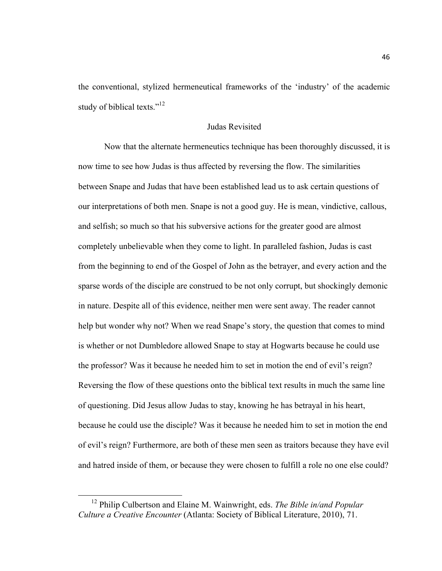the conventional, stylized hermeneutical frameworks of the 'industry' of the academic study of biblical texts."<sup>12</sup>

## Judas Revisited

Now that the alternate hermeneutics technique has been thoroughly discussed, it is now time to see how Judas is thus affected by reversing the flow. The similarities between Snape and Judas that have been established lead us to ask certain questions of our interpretations of both men. Snape is not a good guy. He is mean, vindictive, callous, and selfish; so much so that his subversive actions for the greater good are almost completely unbelievable when they come to light. In paralleled fashion, Judas is cast from the beginning to end of the Gospel of John as the betrayer, and every action and the sparse words of the disciple are construed to be not only corrupt, but shockingly demonic in nature. Despite all of this evidence, neither men were sent away. The reader cannot help but wonder why not? When we read Snape's story, the question that comes to mind is whether or not Dumbledore allowed Snape to stay at Hogwarts because he could use the professor? Was it because he needed him to set in motion the end of evil's reign? Reversing the flow of these questions onto the biblical text results in much the same line of questioning. Did Jesus allow Judas to stay, knowing he has betrayal in his heart, because he could use the disciple? Was it because he needed him to set in motion the end of evil's reign? Furthermore, are both of these men seen as traitors because they have evil and hatred inside of them, or because they were chosen to fulfill a role no one else could?

 <sup>12</sup> Philip Culbertson and Elaine M. Wainwright, eds. *The Bible in/and Popular Culture a Creative Encounter* (Atlanta: Society of Biblical Literature, 2010), 71.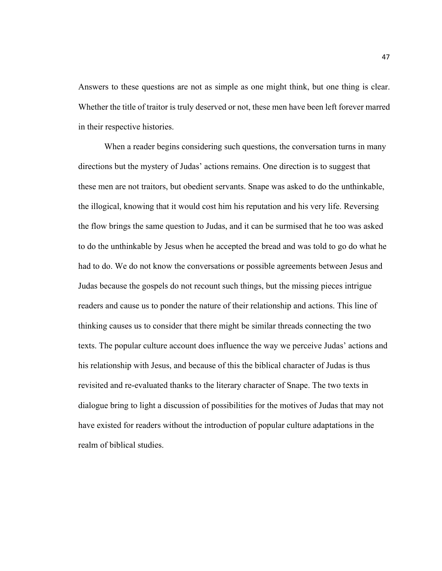Answers to these questions are not as simple as one might think, but one thing is clear. Whether the title of traitor is truly deserved or not, these men have been left forever marred in their respective histories.

When a reader begins considering such questions, the conversation turns in many directions but the mystery of Judas' actions remains. One direction is to suggest that these men are not traitors, but obedient servants. Snape was asked to do the unthinkable, the illogical, knowing that it would cost him his reputation and his very life. Reversing the flow brings the same question to Judas, and it can be surmised that he too was asked to do the unthinkable by Jesus when he accepted the bread and was told to go do what he had to do. We do not know the conversations or possible agreements between Jesus and Judas because the gospels do not recount such things, but the missing pieces intrigue readers and cause us to ponder the nature of their relationship and actions. This line of thinking causes us to consider that there might be similar threads connecting the two texts. The popular culture account does influence the way we perceive Judas' actions and his relationship with Jesus, and because of this the biblical character of Judas is thus revisited and re-evaluated thanks to the literary character of Snape. The two texts in dialogue bring to light a discussion of possibilities for the motives of Judas that may not have existed for readers without the introduction of popular culture adaptations in the realm of biblical studies.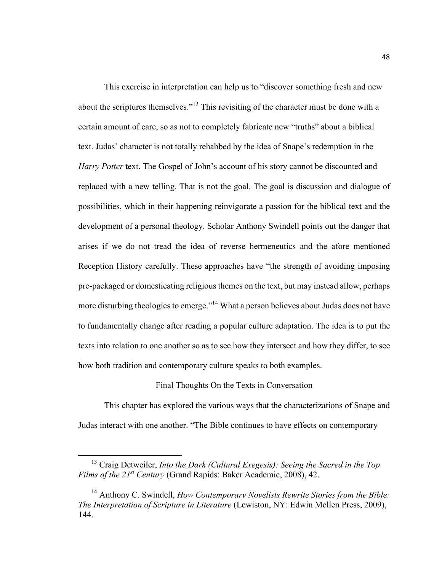This exercise in interpretation can help us to "discover something fresh and new about the scriptures themselves."<sup>13</sup> This revisiting of the character must be done with a certain amount of care, so as not to completely fabricate new "truths" about a biblical text. Judas' character is not totally rehabbed by the idea of Snape's redemption in the *Harry Potter* text. The Gospel of John's account of his story cannot be discounted and replaced with a new telling. That is not the goal. The goal is discussion and dialogue of possibilities, which in their happening reinvigorate a passion for the biblical text and the development of a personal theology. Scholar Anthony Swindell points out the danger that arises if we do not tread the idea of reverse hermeneutics and the afore mentioned Reception History carefully. These approaches have "the strength of avoiding imposing pre-packaged or domesticating religious themes on the text, but may instead allow, perhaps more disturbing theologies to emerge."<sup>14</sup> What a person believes about Judas does not have to fundamentally change after reading a popular culture adaptation. The idea is to put the texts into relation to one another so as to see how they intersect and how they differ, to see how both tradition and contemporary culture speaks to both examples.

## Final Thoughts On the Texts in Conversation

This chapter has explored the various ways that the characterizations of Snape and Judas interact with one another. "The Bible continues to have effects on contemporary

 <sup>13</sup> Craig Detweiler, *Into the Dark (Cultural Exegesis): Seeing the Sacred in the Top Films of the 21st Century* (Grand Rapids: Baker Academic, 2008), 42.

<sup>&</sup>lt;sup>14</sup> Anthony C. Swindell, *How Contemporary Novelists Rewrite Stories from the Bible: The Interpretation of Scripture in Literature* (Lewiston, NY: Edwin Mellen Press, 2009), 144.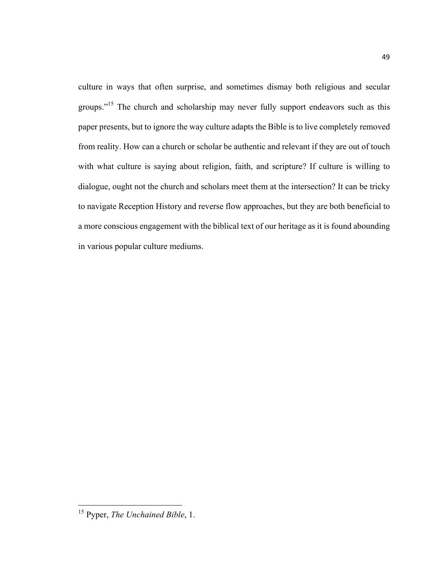culture in ways that often surprise, and sometimes dismay both religious and secular groups."<sup>15</sup> The church and scholarship may never fully support endeavors such as this paper presents, but to ignore the way culture adapts the Bible is to live completely removed from reality. How can a church or scholar be authentic and relevant if they are out of touch with what culture is saying about religion, faith, and scripture? If culture is willing to dialogue, ought not the church and scholars meet them at the intersection? It can be tricky to navigate Reception History and reverse flow approaches, but they are both beneficial to a more conscious engagement with the biblical text of our heritage as it is found abounding in various popular culture mediums.

 <sup>15</sup> Pyper, *The Unchained Bible*, 1.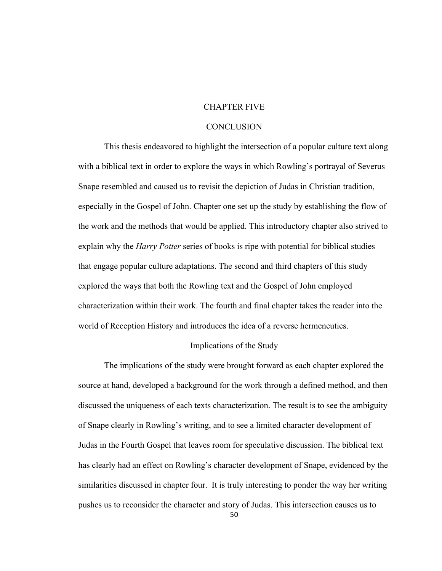## CHAPTER FIVE

## **CONCLUSION**

This thesis endeavored to highlight the intersection of a popular culture text along with a biblical text in order to explore the ways in which Rowling's portrayal of Severus Snape resembled and caused us to revisit the depiction of Judas in Christian tradition, especially in the Gospel of John. Chapter one set up the study by establishing the flow of the work and the methods that would be applied. This introductory chapter also strived to explain why the *Harry Potter* series of books is ripe with potential for biblical studies that engage popular culture adaptations. The second and third chapters of this study explored the ways that both the Rowling text and the Gospel of John employed characterization within their work. The fourth and final chapter takes the reader into the world of Reception History and introduces the idea of a reverse hermeneutics.

## Implications of the Study

The implications of the study were brought forward as each chapter explored the source at hand, developed a background for the work through a defined method, and then discussed the uniqueness of each texts characterization. The result is to see the ambiguity of Snape clearly in Rowling's writing, and to see a limited character development of Judas in the Fourth Gospel that leaves room for speculative discussion. The biblical text has clearly had an effect on Rowling's character development of Snape, evidenced by the similarities discussed in chapter four. It is truly interesting to ponder the way her writing pushes us to reconsider the character and story of Judas. This intersection causes us to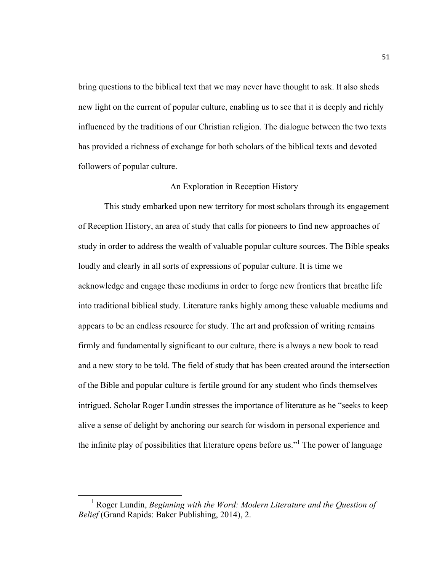bring questions to the biblical text that we may never have thought to ask. It also sheds new light on the current of popular culture, enabling us to see that it is deeply and richly influenced by the traditions of our Christian religion. The dialogue between the two texts has provided a richness of exchange for both scholars of the biblical texts and devoted followers of popular culture.

## An Exploration in Reception History

This study embarked upon new territory for most scholars through its engagement of Reception History, an area of study that calls for pioneers to find new approaches of study in order to address the wealth of valuable popular culture sources. The Bible speaks loudly and clearly in all sorts of expressions of popular culture. It is time we acknowledge and engage these mediums in order to forge new frontiers that breathe life into traditional biblical study. Literature ranks highly among these valuable mediums and appears to be an endless resource for study. The art and profession of writing remains firmly and fundamentally significant to our culture, there is always a new book to read and a new story to be told. The field of study that has been created around the intersection of the Bible and popular culture is fertile ground for any student who finds themselves intrigued. Scholar Roger Lundin stresses the importance of literature as he "seeks to keep alive a sense of delight by anchoring our search for wisdom in personal experience and the infinite play of possibilities that literature opens before us."<sup>1</sup> The power of language

 <sup>1</sup> Roger Lundin, *Beginning with the Word: Modern Literature and the Question of Belief* (Grand Rapids: Baker Publishing, 2014), 2.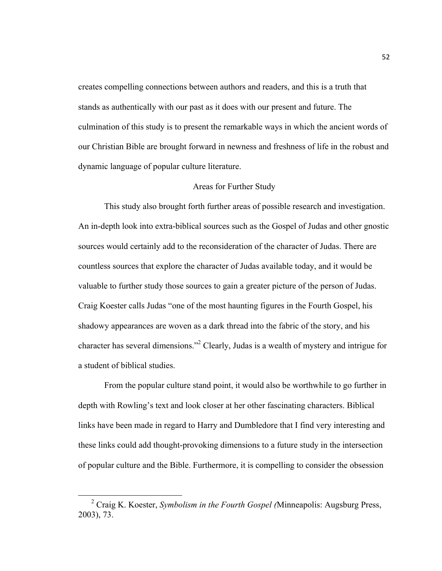creates compelling connections between authors and readers, and this is a truth that stands as authentically with our past as it does with our present and future. The culmination of this study is to present the remarkable ways in which the ancient words of our Christian Bible are brought forward in newness and freshness of life in the robust and dynamic language of popular culture literature.

## Areas for Further Study

This study also brought forth further areas of possible research and investigation. An in-depth look into extra-biblical sources such as the Gospel of Judas and other gnostic sources would certainly add to the reconsideration of the character of Judas. There are countless sources that explore the character of Judas available today, and it would be valuable to further study those sources to gain a greater picture of the person of Judas. Craig Koester calls Judas "one of the most haunting figures in the Fourth Gospel, his shadowy appearances are woven as a dark thread into the fabric of the story, and his character has several dimensions."2 Clearly, Judas is a wealth of mystery and intrigue for a student of biblical studies.

From the popular culture stand point, it would also be worthwhile to go further in depth with Rowling's text and look closer at her other fascinating characters. Biblical links have been made in regard to Harry and Dumbledore that I find very interesting and these links could add thought-provoking dimensions to a future study in the intersection of popular culture and the Bible. Furthermore, it is compelling to consider the obsession

 <sup>2</sup> Craig K. Koester, *Symbolism in the Fourth Gospel (*Minneapolis: Augsburg Press, 2003), 73.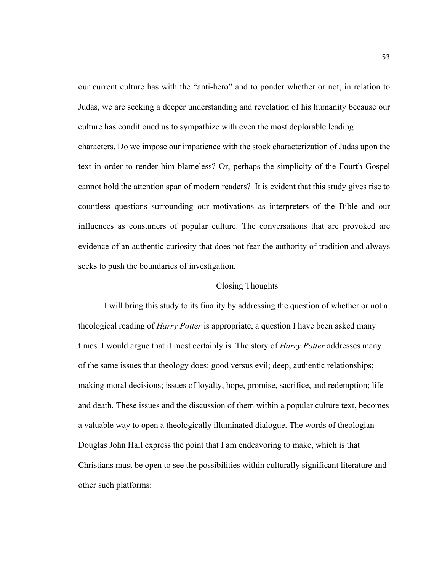our current culture has with the "anti-hero" and to ponder whether or not, in relation to Judas, we are seeking a deeper understanding and revelation of his humanity because our culture has conditioned us to sympathize with even the most deplorable leading characters. Do we impose our impatience with the stock characterization of Judas upon the text in order to render him blameless? Or, perhaps the simplicity of the Fourth Gospel cannot hold the attention span of modern readers? It is evident that this study gives rise to countless questions surrounding our motivations as interpreters of the Bible and our influences as consumers of popular culture. The conversations that are provoked are evidence of an authentic curiosity that does not fear the authority of tradition and always seeks to push the boundaries of investigation.

## Closing Thoughts

I will bring this study to its finality by addressing the question of whether or not a theological reading of *Harry Potter* is appropriate, a question I have been asked many times. I would argue that it most certainly is. The story of *Harry Potter* addresses many of the same issues that theology does: good versus evil; deep, authentic relationships; making moral decisions; issues of loyalty, hope, promise, sacrifice, and redemption; life and death. These issues and the discussion of them within a popular culture text, becomes a valuable way to open a theologically illuminated dialogue. The words of theologian Douglas John Hall express the point that I am endeavoring to make, which is that Christians must be open to see the possibilities within culturally significant literature and other such platforms: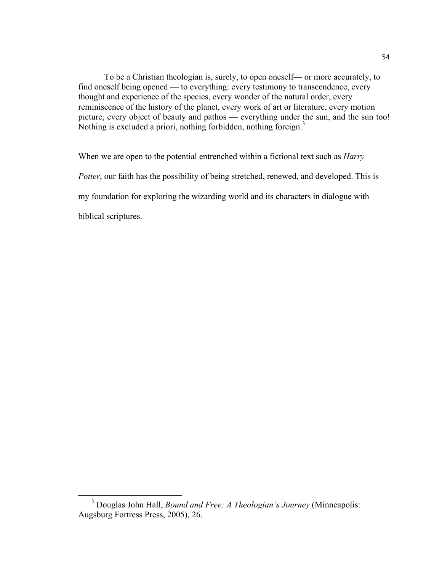To be a Christian theologian is, surely, to open oneself–– or more accurately, to find oneself being opened — to everything: every testimony to transcendence, every thought and experience of the species, every wonder of the natural order, every reminiscence of the history of the planet, every work of art or literature, every motion picture, every object of beauty and pathos –– everything under the sun, and the sun too! Nothing is excluded a priori, nothing forbidden, nothing foreign.<sup>3</sup>

When we are open to the potential entrenched within a fictional text such as *Harry Potter*, our faith has the possibility of being stretched, renewed, and developed. This is my foundation for exploring the wizarding world and its characters in dialogue with biblical scriptures.

 <sup>3</sup> Douglas John Hall, *Bound and Free: A Theologian's Journey* (Minneapolis: Augsburg Fortress Press, 2005), 26.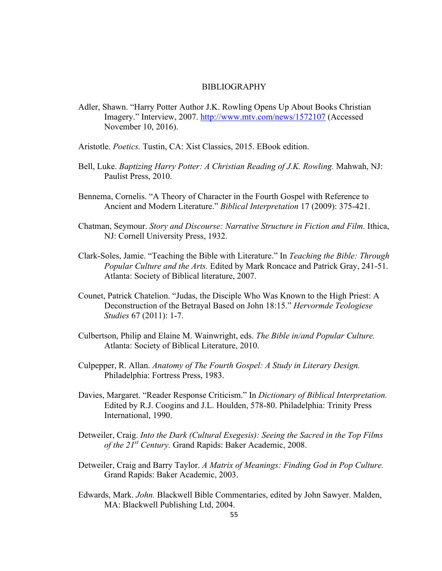#### BIBLIOGRAPHY

- Adler, Shawn. "Harry Potter Author J.K. Rowling Opens Up About Books Christian Imagery." Interview, 2007. http://www.mtv.com/news/1572107 (Accessed November 10, 2016).
- Aristotle. *Poetics.* Tustin, CA: Xist Classics, 2015. EBook edition.
- Bell, Luke. *Baptizing Harry Potter: A Christian Reading of J.K. Rowling.* Mahwah, NJ: Paulist Press, 2010.
- Bennema, Cornelis. "A Theory of Character in the Fourth Gospel with Reference to Ancient and Modern Literature." *Biblical Interpretation* 17 (2009): 375-421.
- Chatman, Seymour. *Story and Discourse: Narrative Structure in Fiction and Film.* Ithica, NJ: Cornell University Press, 1932.
- Clark-Soles, Jamie. "Teaching the Bible with Literature." In *Teaching the Bible: Through Popular Culture and the Arts.* Edited by Mark Roncace and Patrick Gray, 241-51. Atlanta: Society of Biblical literature, 2007.
- Counet, Patrick Chatelion. "Judas, the Disciple Who Was Known to the High Priest: A Deconstruction of the Betrayal Based on John 18:15." *Hervormde Teologiese Studies* 67 (2011): 1-7.
- Culbertson, Philip and Elaine M. Wainwright, eds. *The Bible in/and Popular Culture.*  Atlanta: Society of Biblical Literature, 2010.
- Culpepper, R. Allan. *Anatomy of The Fourth Gospel: A Study in Literary Design.*  Philadelphia: Fortress Press, 1983.
- Davies, Margaret. "Reader Response Criticism." In *Dictionary of Biblical Interpretation.*  Edited by R.J. Coogins and J.L. Houlden, 578-80. Philadelphia: Trinity Press International, 1990.
- Detweiler, Craig. *Into the Dark (Cultural Exegesis): Seeing the Sacred in the Top Films of the 21st Century.* Grand Rapids: Baker Academic, 2008.
- Detweiler, Craig and Barry Taylor. *A Matrix of Meanings: Finding God in Pop Culture.*  Grand Rapids: Baker Academic, 2003.
- Edwards, Mark. *John.* Blackwell Bible Commentaries, edited by John Sawyer. Malden, MA: Blackwell Publishing Ltd, 2004.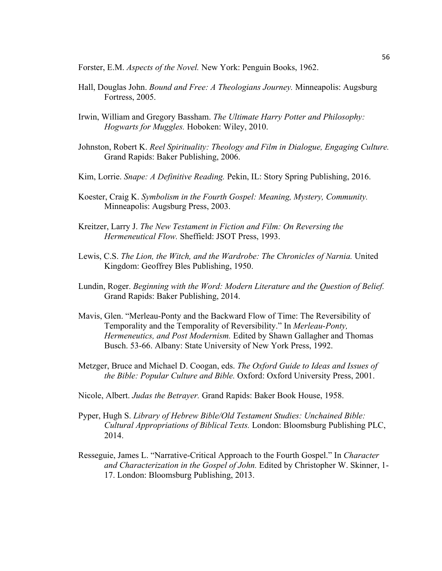Forster, E.M. *Aspects of the Novel.* New York: Penguin Books, 1962.

- Hall, Douglas John. *Bound and Free: A Theologians Journey.* Minneapolis: Augsburg Fortress, 2005.
- Irwin, William and Gregory Bassham. *The Ultimate Harry Potter and Philosophy: Hogwarts for Muggles.* Hoboken: Wiley, 2010.
- Johnston, Robert K. *Reel Spirituality: Theology and Film in Dialogue, Engaging Culture.*  Grand Rapids: Baker Publishing, 2006.
- Kim, Lorrie. *Snape: A Definitive Reading.* Pekin, IL: Story Spring Publishing, 2016.
- Koester, Craig K. *Symbolism in the Fourth Gospel: Meaning, Mystery, Community.*  Minneapolis: Augsburg Press, 2003.
- Kreitzer, Larry J. *The New Testament in Fiction and Film: On Reversing the Hermeneutical Flow.* Sheffield: JSOT Press, 1993.
- Lewis, C.S. *The Lion, the Witch, and the Wardrobe: The Chronicles of Narnia.* United Kingdom: Geoffrey Bles Publishing, 1950.
- Lundin, Roger. *Beginning with the Word: Modern Literature and the Question of Belief.*  Grand Rapids: Baker Publishing, 2014.
- Mavis, Glen. "Merleau-Ponty and the Backward Flow of Time: The Reversibility of Temporality and the Temporality of Reversibility." In *Merleau-Ponty, Hermeneutics, and Post Modernism.* Edited by Shawn Gallagher and Thomas Busch. 53-66. Albany: State University of New York Press, 1992.
- Metzger, Bruce and Michael D. Coogan, eds. *The Oxford Guide to Ideas and Issues of the Bible: Popular Culture and Bible.* Oxford: Oxford University Press, 2001.
- Nicole, Albert. *Judas the Betrayer.* Grand Rapids: Baker Book House, 1958.
- Pyper, Hugh S. *Library of Hebrew Bible/Old Testament Studies: Unchained Bible: Cultural Appropriations of Biblical Texts.* London: Bloomsburg Publishing PLC, 2014.
- Resseguie, James L. "Narrative-Critical Approach to the Fourth Gospel." In *Character and Characterization in the Gospel of John.* Edited by Christopher W. Skinner, 1- 17. London: Bloomsburg Publishing, 2013.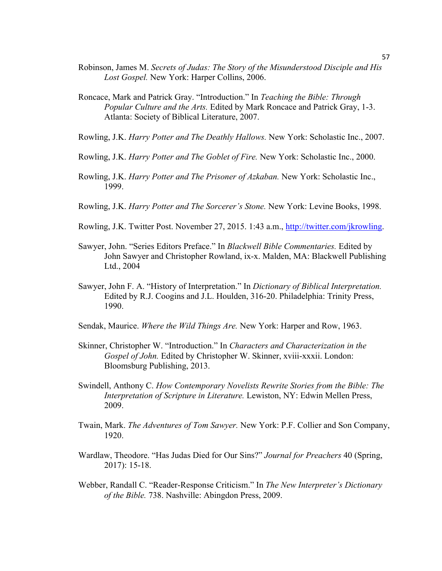- Robinson, James M. *Secrets of Judas: The Story of the Misunderstood Disciple and His Lost Gospel.* New York: Harper Collins, 2006.
- Roncace, Mark and Patrick Gray. "Introduction." In *Teaching the Bible: Through Popular Culture and the Arts.* Edited by Mark Roncace and Patrick Gray, 1-3. Atlanta: Society of Biblical Literature, 2007.
- Rowling, J.K. *Harry Potter and The Deathly Hallows.* New York: Scholastic Inc., 2007.
- Rowling, J.K. *Harry Potter and The Goblet of Fire.* New York: Scholastic Inc., 2000.
- Rowling, J.K. *Harry Potter and The Prisoner of Azkaban.* New York: Scholastic Inc., 1999.
- Rowling, J.K. *Harry Potter and The Sorcerer's Stone.* New York: Levine Books, 1998.
- Rowling, J.K. Twitter Post. November 27, 2015. 1:43 a.m., http://twitter.com/jkrowling.
- Sawyer, John. "Series Editors Preface." In *Blackwell Bible Commentaries.* Edited by John Sawyer and Christopher Rowland, ix-x. Malden, MA: Blackwell Publishing Ltd., 2004
- Sawyer, John F. A. "History of Interpretation." In *Dictionary of Biblical Interpretation.* Edited by R.J. Coogins and J.L. Houlden, 316-20. Philadelphia: Trinity Press, 1990.
- Sendak, Maurice. *Where the Wild Things Are.* New York: Harper and Row, 1963.
- Skinner, Christopher W. "Introduction." In *Characters and Characterization in the Gospel of John.* Edited by Christopher W. Skinner, xviii-xxxii. London: Bloomsburg Publishing, 2013.
- Swindell, Anthony C. *How Contemporary Novelists Rewrite Stories from the Bible: The Interpretation of Scripture in Literature.* Lewiston, NY: Edwin Mellen Press, 2009.
- Twain, Mark. *The Adventures of Tom Sawyer.* New York: P.F. Collier and Son Company, 1920.
- Wardlaw, Theodore. "Has Judas Died for Our Sins?" *Journal for Preachers* 40 (Spring, 2017): 15-18.
- Webber, Randall C. "Reader-Response Criticism." In *The New Interpreter's Dictionary of the Bible.* 738. Nashville: Abingdon Press, 2009.